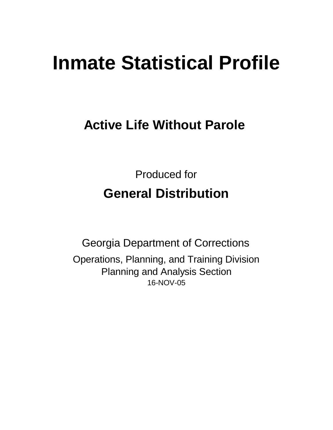# **Inmate Statistical Profile**

# **Active Life Without Parole**

Produced for **General Distribution**

16-NOV-05 Georgia Department of Corrections Operations, Planning, and Training Division Planning and Analysis Section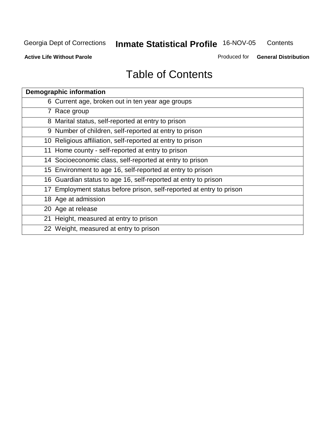**Active Life Without Parole** 

Produced for **General Distribution**

| <b>Demographic information</b>                                       |
|----------------------------------------------------------------------|
| 6 Current age, broken out in ten year age groups                     |
| 7 Race group                                                         |
| 8 Marital status, self-reported at entry to prison                   |
| 9 Number of children, self-reported at entry to prison               |
| 10 Religious affiliation, self-reported at entry to prison           |
| 11 Home county - self-reported at entry to prison                    |
| 14 Socioeconomic class, self-reported at entry to prison             |
| 15 Environment to age 16, self-reported at entry to prison           |
| 16 Guardian status to age 16, self-reported at entry to prison       |
| 17 Employment status before prison, self-reported at entry to prison |
| 18 Age at admission                                                  |
| 20 Age at release                                                    |
| 21 Height, measured at entry to prison                               |
| 22 Weight, measured at entry to prison                               |
|                                                                      |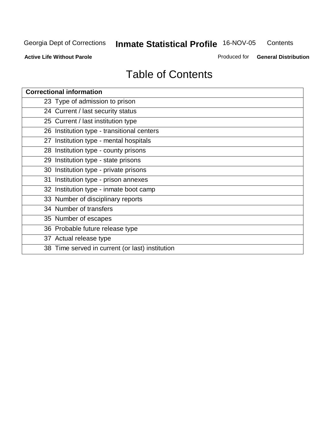**Active Life Without Parole** 

Produced for **General Distribution**

| <b>Correctional information</b>                 |
|-------------------------------------------------|
| 23 Type of admission to prison                  |
| 24 Current / last security status               |
| 25 Current / last institution type              |
| 26 Institution type - transitional centers      |
| 27 Institution type - mental hospitals          |
| 28 Institution type - county prisons            |
| 29 Institution type - state prisons             |
| 30 Institution type - private prisons           |
| 31 Institution type - prison annexes            |
| 32 Institution type - inmate boot camp          |
| 33 Number of disciplinary reports               |
| 34 Number of transfers                          |
| 35 Number of escapes                            |
| 36 Probable future release type                 |
| 37 Actual release type                          |
| 38 Time served in current (or last) institution |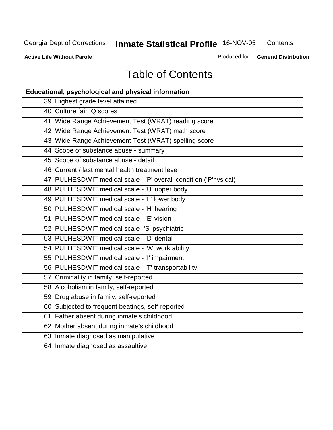**Contents** 

**Active Life Without Parole** 

Produced for **General Distribution**

| <b>Educational, psychological and physical information</b>       |  |  |  |  |  |
|------------------------------------------------------------------|--|--|--|--|--|
| 39 Highest grade level attained                                  |  |  |  |  |  |
| 40 Culture fair IQ scores                                        |  |  |  |  |  |
| 41 Wide Range Achievement Test (WRAT) reading score              |  |  |  |  |  |
| 42 Wide Range Achievement Test (WRAT) math score                 |  |  |  |  |  |
| 43 Wide Range Achievement Test (WRAT) spelling score             |  |  |  |  |  |
| 44 Scope of substance abuse - summary                            |  |  |  |  |  |
| 45 Scope of substance abuse - detail                             |  |  |  |  |  |
| 46 Current / last mental health treatment level                  |  |  |  |  |  |
| 47 PULHESDWIT medical scale - 'P' overall condition ('P'hysical) |  |  |  |  |  |
| 48 PULHESDWIT medical scale - 'U' upper body                     |  |  |  |  |  |
| 49 PULHESDWIT medical scale - 'L' lower body                     |  |  |  |  |  |
| 50 PULHESDWIT medical scale - 'H' hearing                        |  |  |  |  |  |
| 51 PULHESDWIT medical scale - 'E' vision                         |  |  |  |  |  |
| 52 PULHESDWIT medical scale -'S' psychiatric                     |  |  |  |  |  |
| 53 PULHESDWIT medical scale - 'D' dental                         |  |  |  |  |  |
| 54 PULHESDWIT medical scale - 'W' work ability                   |  |  |  |  |  |
| 55 PULHESDWIT medical scale - 'I' impairment                     |  |  |  |  |  |
| 56 PULHESDWIT medical scale - 'T' transportability               |  |  |  |  |  |
| 57 Criminality in family, self-reported                          |  |  |  |  |  |
| 58 Alcoholism in family, self-reported                           |  |  |  |  |  |
| 59 Drug abuse in family, self-reported                           |  |  |  |  |  |
| 60 Subjected to frequent beatings, self-reported                 |  |  |  |  |  |
| 61 Father absent during inmate's childhood                       |  |  |  |  |  |
| 62 Mother absent during inmate's childhood                       |  |  |  |  |  |
| 63 Inmate diagnosed as manipulative                              |  |  |  |  |  |
| 64 Inmate diagnosed as assaultive                                |  |  |  |  |  |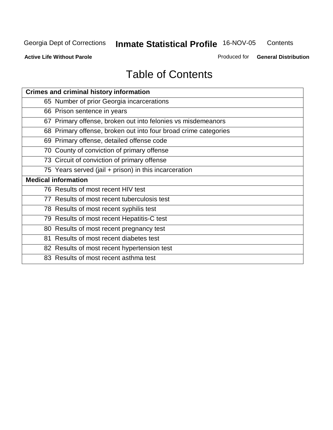**Active Life Without Parole** 

Produced for **General Distribution**

| <b>Crimes and criminal history information</b>                  |
|-----------------------------------------------------------------|
| 65 Number of prior Georgia incarcerations                       |
| 66 Prison sentence in years                                     |
| 67 Primary offense, broken out into felonies vs misdemeanors    |
| 68 Primary offense, broken out into four broad crime categories |
| 69 Primary offense, detailed offense code                       |
| 70 County of conviction of primary offense                      |
| 73 Circuit of conviction of primary offense                     |
| 75 Years served (jail + prison) in this incarceration           |
| <b>Medical information</b>                                      |
| 76 Results of most recent HIV test                              |
|                                                                 |
| 77 Results of most recent tuberculosis test                     |
| 78 Results of most recent syphilis test                         |
| 79 Results of most recent Hepatitis-C test                      |
| 80 Results of most recent pregnancy test                        |
| 81 Results of most recent diabetes test                         |
| 82 Results of most recent hypertension test                     |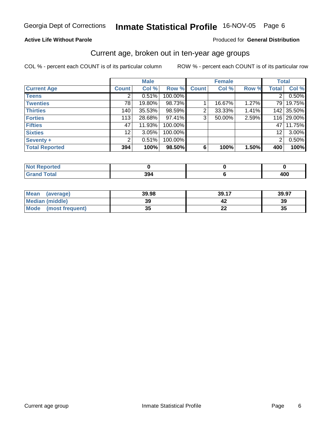#### **Active Life Without Parole**

#### Produced for **General Distribution**

#### Current age, broken out in ten-year age groups

|                       |                | <b>Male</b> |         |                | <b>Female</b> |       | <b>Total</b>    |            |
|-----------------------|----------------|-------------|---------|----------------|---------------|-------|-----------------|------------|
| <b>Current Age</b>    | <b>Count</b>   | Col %       | Row %   | <b>Count</b>   | Col %         | Row % | <b>Total</b>    | Col %      |
| <b>Teens</b>          | $\overline{2}$ | 0.51%       | 100.00% |                |               |       | $\overline{2}$  | 0.50%      |
| <b>Twenties</b>       | 78             | 19.80%      | 98.73%  |                | 16.67%        | 1.27% | 79 I            | 19.75%     |
| <b>Thirties</b>       | 140            | 35.53%      | 98.59%  | $\overline{2}$ | 33.33%        | 1.41% |                 | 142 35.50% |
| <b>Forties</b>        | 113            | 28.68%      | 97.41%  | 3              | 50.00%        | 2.59% |                 | 116 29.00% |
| <b>Fifties</b>        | 47             | 11.93%      | 100.00% |                |               |       | 47 I            | 11.75%     |
| <b>Sixties</b>        | 12             | 3.05%       | 100.00% |                |               |       | 12 <sub>2</sub> | 3.00%      |
| Seventy +             | $\overline{2}$ | 0.51%       | 100.00% |                |               |       | $\overline{2}$  | 0.50%      |
| <b>Total Reported</b> | 394            | 100%        | 98.50%  | 6              | 100%          | 1.50% | 400             | 100%       |

| <b>rted</b>                                    |     |     |
|------------------------------------------------|-----|-----|
| <b>Total</b><br><b>Gro</b><br>$\mathsf{C}$ and | 394 | 400 |

| <b>Mean</b><br>(average) | 39.98   | 39.17                         | 39.97 |
|--------------------------|---------|-------------------------------|-------|
| Median (middle)          | 39      |                               | 39    |
| Mode<br>(most frequent)  | 25<br>w | $\overline{\phantom{a}}$<br>⊷ | 35    |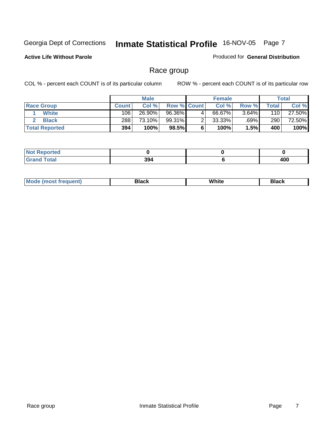#### **Active Life Without Parole**

#### Produced for **General Distribution**

### Race group

|                       |              | <b>Male</b> |                    |   | <b>Female</b> |          |       | <b>Total</b> |
|-----------------------|--------------|-------------|--------------------|---|---------------|----------|-------|--------------|
| <b>Race Group</b>     | <b>Count</b> | Col %       | <b>Row % Count</b> |   | Col %         | Row %    | Total | Col %        |
| <b>White</b>          | 106          | 26.90%      | 96.36%             | 4 | 66.67%        | $3.64\%$ | 110   | 27.50%       |
| <b>Black</b>          | 288          | 73.10%      | 99.31%             | ົ | $33.33\%$     | .69%     | 290   | 72.50%       |
| <b>Total Reported</b> | 394          | 100%        | 98.5%              |   | 100%          | 1.5%     | 400   | 100%         |

| <b>Not Reported</b> |     |     |
|---------------------|-----|-----|
| T <sub>ofol</sub>   | 394 | 400 |

| ' M∩<br>nuemn<br> | Black | White | 3lack |
|-------------------|-------|-------|-------|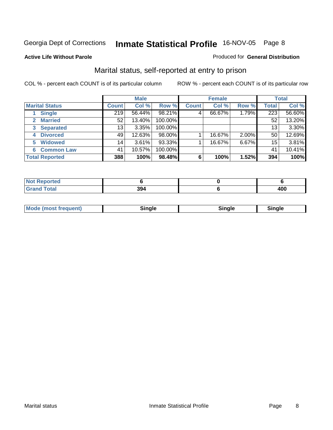#### **Active Life Without Parole**

#### Produced for **General Distribution**

### Marital status, self-reported at entry to prison

|                        |                 | <b>Male</b> |         |              | <b>Female</b> |          |              | <b>Total</b> |
|------------------------|-----------------|-------------|---------|--------------|---------------|----------|--------------|--------------|
| <b>Marital Status</b>  | <b>Count</b>    | Col %       | Row %   | <b>Count</b> | Col %         | Row %    | <b>Total</b> | Col %        |
| <b>Single</b>          | 219             | 56.44%      | 98.21%  | 4            | 66.67%        | 1.79%    | 223          | 56.60%       |
| <b>Married</b>         | 52              | 13.40%      | 100.00% |              |               |          | 52           | 13.20%       |
| <b>Separated</b><br>3  | 13              | 3.35%       | 100.00% |              |               |          | 13           | 3.30%        |
| <b>Divorced</b><br>4   | 49              | 12.63%      | 98.00%  |              | 16.67%        | $2.00\%$ | 50           | 12.69%       |
| <b>Widowed</b><br>5    | 14 <sub>1</sub> | 3.61%       | 93.33%  |              | 16.67%        | 6.67%    | 15           | 3.81%        |
| <b>Common Law</b><br>6 | 41              | 10.57%      | 100.00% |              |               |          | 41           | 10.41%       |
| <b>Total Reported</b>  | 388             | 100%        | 98.48%  | 6            | 100%          | 1.52%    | 394          | 100%         |

| τeα    |           |            |
|--------|-----------|------------|
| $\sim$ | 20 A<br>æ | 10C<br>4vv |

|  | Mode (most frequent) | Sinale | ⊡nαle | male and a |
|--|----------------------|--------|-------|------------|
|--|----------------------|--------|-------|------------|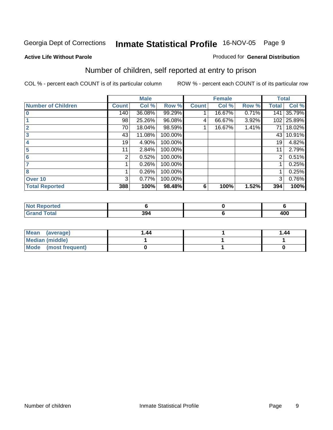#### **Active Life Without Parole**

#### Produced for **General Distribution**

### Number of children, self reported at entry to prison

|                           |              | <b>Male</b> |         |              | <b>Female</b> |       | <b>Total</b> |        |
|---------------------------|--------------|-------------|---------|--------------|---------------|-------|--------------|--------|
| <b>Number of Children</b> | <b>Count</b> | Col %       | Row %   | <b>Count</b> | Col %         | Row % | <b>Total</b> | Col %  |
| $\bf{0}$                  | 140          | 36.08%      | 99.29%  |              | 16.67%        | 0.71% | 141          | 35.79% |
|                           | 98           | 25.26%      | 96.08%  | 4            | 66.67%        | 3.92% | 102          | 25.89% |
| $\overline{2}$            | 70           | 18.04%      | 98.59%  |              | 16.67%        | 1.41% | 71           | 18.02% |
| 3                         | 43           | 11.08%      | 100.00% |              |               |       | 43           | 10.91% |
| 4                         | 19           | 4.90%       | 100.00% |              |               |       | 19           | 4.82%  |
| 5                         | 11           | 2.84%       | 100.00% |              |               |       | 11           | 2.79%  |
| 6                         | 2            | 0.52%       | 100.00% |              |               |       | 2            | 0.51%  |
| 7                         |              | 0.26%       | 100.00% |              |               |       |              | 0.25%  |
| 8                         |              | 0.26%       | 100.00% |              |               |       |              | 0.25%  |
| Over 10                   | 3            | 0.77%       | 100.00% |              |               |       | 3            | 0.76%  |
| <b>Total Reported</b>     | 388          | 100%        | 98.48%  | 6            | 100%          | 1.52% | 394          | 100%   |

| тео<br>NOT |            |            |
|------------|------------|------------|
|            | nn.<br>394 | 100<br>4vv |

| Mean<br>(average)      | l .44 | 1.44 |
|------------------------|-------|------|
| <b>Median (middle)</b> |       |      |
| Mode (most frequent)   |       |      |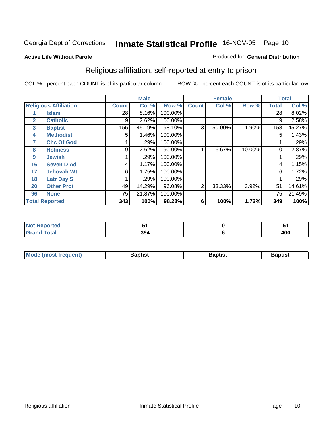#### **Active Life Without Parole**

#### Produced for **General Distribution**

### Religious affiliation, self-reported at entry to prison

|              |                              |                 | <b>Male</b> |         |                | <b>Female</b> |        |              | <b>Total</b> |
|--------------|------------------------------|-----------------|-------------|---------|----------------|---------------|--------|--------------|--------------|
|              | <b>Religious Affiliation</b> | <b>Count</b>    | Col %       | Row %   | <b>Count</b>   | Col %         | Row %  | <b>Total</b> | Col %        |
|              | <b>Islam</b>                 | $\overline{28}$ | 8.16%       | 100.00% |                |               |        | 28           | 8.02%        |
| $\mathbf{2}$ | <b>Catholic</b>              | 9               | 2.62%       | 100.00% |                |               |        | 9            | 2.58%        |
| 3            | <b>Baptist</b>               | 155             | 45.19%      | 98.10%  | 3              | 50.00%        | 1.90%  | 158          | 45.27%       |
| 4            | <b>Methodist</b>             | 5               | 1.46%       | 100.00% |                |               |        | 5            | 1.43%        |
| 7            | <b>Chc Of God</b>            |                 | .29%        | 100.00% |                |               |        |              | .29%         |
| 8            | <b>Holiness</b>              | 9               | 2.62%       | 90.00%  |                | 16.67%        | 10.00% | 10           | 2.87%        |
| 9            | <b>Jewish</b>                |                 | .29%        | 100.00% |                |               |        |              | .29%         |
| 16           | <b>Seven D Ad</b>            | 4               | 1.17%       | 100.00% |                |               |        | 4            | 1.15%        |
| 17           | <b>Jehovah Wt</b>            | 6               | 1.75%       | 100.00% |                |               |        | 6            | 1.72%        |
| 18           | <b>Latr Day S</b>            |                 | .29%        | 100.00% |                |               |        |              | .29%         |
| 20           | <b>Other Prot</b>            | 49              | 14.29%      | 96.08%  | $\overline{2}$ | 33.33%        | 3.92%  | 51           | 14.61%       |
| 96           | <b>None</b>                  | 75              | 21.87%      | 100.00% |                |               |        | 75           | 21.49%       |
|              | <b>Total Reported</b>        | 343             | 100%        | 98.28%  | 6              | 100%          | 1.72%  | 349          | 100%         |

| arren.<br>N |                  | _<br>w |
|-------------|------------------|--------|
|             | <b>001</b><br>JЈ | 400    |

| l Mo          | <b>aptist</b> | 3aptist              | Baptis. |
|---------------|---------------|----------------------|---------|
| <b>auent)</b> |               | $\sim$ $\sim$ $\sim$ |         |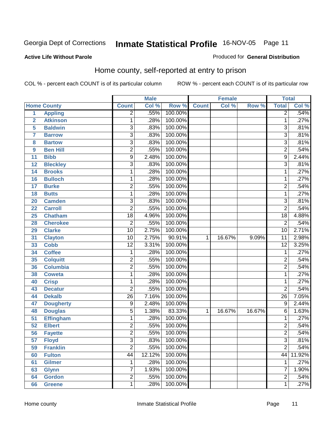#### **Active Life Without Parole**

#### Produced for **General Distribution**

### Home county, self-reported at entry to prison

|                |                    |                 | <b>Male</b> |         |              | <b>Female</b> |        | <b>Total</b>    |        |
|----------------|--------------------|-----------------|-------------|---------|--------------|---------------|--------|-----------------|--------|
|                | <b>Home County</b> | <b>Count</b>    | Col %       | Row %   | <b>Count</b> | Col %         | Row %  | <b>Total</b>    | Col %  |
| $\overline{1}$ | <b>Appling</b>     | $\overline{2}$  | .55%        | 100.00% |              |               |        | $\overline{2}$  | .54%   |
| $\overline{2}$ | <b>Atkinson</b>    | 1               | .28%        | 100.00% |              |               |        | 1               | .27%   |
| 5              | <b>Baldwin</b>     | $\overline{3}$  | .83%        | 100.00% |              |               |        | 3               | .81%   |
| $\overline{7}$ | <b>Barrow</b>      | $\overline{3}$  | .83%        | 100.00% |              |               |        | $\overline{3}$  | .81%   |
| 8              | <b>Bartow</b>      | $\overline{3}$  | .83%        | 100.00% |              |               |        | $\overline{3}$  | .81%   |
| 9              | <b>Ben Hill</b>    | $\overline{2}$  | .55%        | 100.00% |              |               |        | $\overline{2}$  | .54%   |
| 11             | <b>Bibb</b>        | $\overline{9}$  | 2.48%       | 100.00% |              |               |        | $\overline{9}$  | 2.44%  |
| 12             | <b>Bleckley</b>    | 3               | .83%        | 100.00% |              |               |        | $\overline{3}$  | .81%   |
| 14             | <b>Brooks</b>      | 1               | .28%        | 100.00% |              |               |        | 1               | .27%   |
| 16             | <b>Bulloch</b>     | 1               | .28%        | 100.00% |              |               |        | 1               | .27%   |
| 17             | <b>Burke</b>       | $\overline{2}$  | .55%        | 100.00% |              |               |        | $\overline{2}$  | .54%   |
| 18             | <b>Butts</b>       | $\mathbf{1}$    | .28%        | 100.00% |              |               |        | $\mathbf 1$     | .27%   |
| 20             | <b>Camden</b>      | $\overline{3}$  | .83%        | 100.00% |              |               |        | $\overline{3}$  | .81%   |
| 22             | <b>Carroll</b>     | $\overline{2}$  | .55%        | 100.00% |              |               |        | $\overline{2}$  | .54%   |
| 25             | <b>Chatham</b>     | $\overline{18}$ | 4.96%       | 100.00% |              |               |        | $\overline{18}$ | 4.88%  |
| 28             | <b>Cherokee</b>    | 2               | .55%        | 100.00% |              |               |        | $\overline{2}$  | .54%   |
| 29             | <b>Clarke</b>      | $\overline{10}$ | 2.75%       | 100.00% |              |               |        | 10              | 2.71%  |
| 31             | <b>Clayton</b>     | $\overline{10}$ | 2.75%       | 90.91%  | 1            | 16.67%        | 9.09%  | $\overline{11}$ | 2.98%  |
| 33             | <b>Cobb</b>        | $\overline{12}$ | 3.31%       | 100.00% |              |               |        | $\overline{12}$ | 3.25%  |
| 34             | <b>Coffee</b>      | 1               | .28%        | 100.00% |              |               |        | $\mathbf{1}$    | .27%   |
| 35             | <b>Colquitt</b>    | $\overline{2}$  | .55%        | 100.00% |              |               |        | $\overline{2}$  | .54%   |
| 36             | <b>Columbia</b>    | $\overline{2}$  | .55%        | 100.00% |              |               |        | $\overline{2}$  | .54%   |
| 38             | <b>Coweta</b>      | 1               | .28%        | 100.00% |              |               |        | 1               | .27%   |
| 40             | <b>Crisp</b>       | $\mathbf{1}$    | .28%        | 100.00% |              |               |        | $\mathbf{1}$    | .27%   |
| 43             | <b>Decatur</b>     | $\overline{2}$  | .55%        | 100.00% |              |               |        | $\overline{2}$  | .54%   |
| 44             | <b>Dekalb</b>      | $\overline{26}$ | 7.16%       | 100.00% |              |               |        | $\overline{26}$ | 7.05%  |
| 47             | <b>Dougherty</b>   | 9               | 2.48%       | 100.00% |              |               |        | 9               | 2.44%  |
| 48             | <b>Douglas</b>     | 5               | 1.38%       | 83.33%  | $\mathbf{1}$ | 16.67%        | 16.67% | $\overline{6}$  | 1.63%  |
| 51             | <b>Effingham</b>   | 1               | .28%        | 100.00% |              |               |        | $\overline{1}$  | .27%   |
| 52             | <b>Elbert</b>      | 2               | .55%        | 100.00% |              |               |        | $\overline{2}$  | .54%   |
| 56             | <b>Fayette</b>     | $\overline{2}$  | .55%        | 100.00% |              |               |        | $\overline{2}$  | .54%   |
| 57             | <b>Floyd</b>       | $\overline{3}$  | .83%        | 100.00% |              |               |        | $\overline{3}$  | .81%   |
| 59             | <b>Franklin</b>    | $\overline{2}$  | .55%        | 100.00% |              |               |        | $\overline{2}$  | .54%   |
| 60             | <b>Fulton</b>      | $\overline{44}$ | 12.12%      | 100.00% |              |               |        | 44              | 11.92% |
| 61             | <b>Gilmer</b>      | 1               | .28%        | 100.00% |              |               |        | 1               | .27%   |
| 63             | <b>Glynn</b>       | 7               | 1.93%       | 100.00% |              |               |        | $\overline{7}$  | 1.90%  |
| 64             | <b>Gordon</b>      | $\overline{2}$  | .55%        | 100.00% |              |               |        | $\overline{2}$  | .54%   |
| 66             | <b>Greene</b>      | $\mathbf 1$     | .28%        | 100.00% |              |               |        | $\overline{1}$  | .27%   |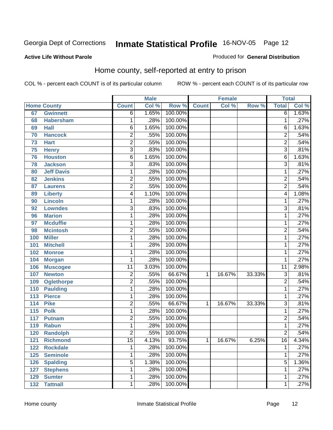#### **Active Life Without Parole**

#### Produced for **General Distribution**

### Home county, self-reported at entry to prison

|                  |                    |                 | <b>Male</b> |         |              | <b>Female</b> |        | <b>Total</b>    |       |
|------------------|--------------------|-----------------|-------------|---------|--------------|---------------|--------|-----------------|-------|
|                  | <b>Home County</b> | <b>Count</b>    | Col %       | Row %   | <b>Count</b> | Col %         | Row %  | <b>Total</b>    | Col % |
| 67               | <b>Gwinnett</b>    | $\overline{6}$  | 1.65%       | 100.00% |              |               |        | $\overline{6}$  | 1.63% |
| 68               | <b>Habersham</b>   | 1               | .28%        | 100.00% |              |               |        | 1               | .27%  |
| 69               | <b>Hall</b>        | 6               | 1.65%       | 100.00% |              |               |        | 6               | 1.63% |
| 70               | <b>Hancock</b>     | $\overline{2}$  | .55%        | 100.00% |              |               |        | $\overline{2}$  | .54%  |
| 73               | <b>Hart</b>        | $\overline{2}$  | .55%        | 100.00% |              |               |        | $\overline{2}$  | .54%  |
| 75               | <b>Henry</b>       | $\overline{3}$  | .83%        | 100.00% |              |               |        | $\overline{3}$  | .81%  |
| 76               | <b>Houston</b>     | $\overline{6}$  | 1.65%       | 100.00% |              |               |        | 6               | 1.63% |
| 78               | <b>Jackson</b>     | $\overline{3}$  | .83%        | 100.00% |              |               |        | $\overline{3}$  | .81%  |
| 80               | <b>Jeff Davis</b>  | 1               | .28%        | 100.00% |              |               |        | 1               | .27%  |
| 82               | <b>Jenkins</b>     | 2               | .55%        | 100.00% |              |               |        | $\overline{2}$  | .54%  |
| 87               | <b>Laurens</b>     | $\overline{2}$  | .55%        | 100.00% |              |               |        | $\overline{2}$  | .54%  |
| 89               | <b>Liberty</b>     | $\overline{4}$  | 1.10%       | 100.00% |              |               |        | $\overline{4}$  | 1.08% |
| 90               | <b>Lincoln</b>     | 1               | .28%        | 100.00% |              |               |        | 1               | .27%  |
| 92               | <b>Lowndes</b>     | $\overline{3}$  | .83%        | 100.00% |              |               |        | $\overline{3}$  | .81%  |
| 96               | <b>Marion</b>      | 1               | .28%        | 100.00% |              |               |        | 1               | .27%  |
| 97               | <b>Mcduffie</b>    | 1               | .28%        | 100.00% |              |               |        | 1               | .27%  |
| 98               | <b>Mcintosh</b>    | $\overline{2}$  | .55%        | 100.00% |              |               |        | $\overline{2}$  | .54%  |
| 100              | <b>Miller</b>      | 1               | .28%        | 100.00% |              |               |        | 1               | .27%  |
| 101              | <b>Mitchell</b>    | 1               | .28%        | 100.00% |              |               |        | 1               | .27%  |
| 102              | <b>Monroe</b>      | 1               | .28%        | 100.00% |              |               |        | $\mathbf{1}$    | .27%  |
| 104              | <b>Morgan</b>      | 1               | .28%        | 100.00% |              |               |        | 1               | .27%  |
| 106              | <b>Muscogee</b>    | $\overline{11}$ | 3.03%       | 100.00% |              |               |        | $\overline{11}$ | 2.98% |
| 107              | <b>Newton</b>      | $\overline{c}$  | .55%        | 66.67%  | 1.           | 16.67%        | 33.33% | 3               | .81%  |
| 109              | <b>Oglethorpe</b>  | $\overline{2}$  | .55%        | 100.00% |              |               |        | $\overline{2}$  | .54%  |
| 110              | <b>Paulding</b>    | 1               | .28%        | 100.00% |              |               |        | 1               | .27%  |
| 113              | <b>Pierce</b>      | 1               | .28%        | 100.00% |              |               |        | $\mathbf{1}$    | .27%  |
| 114              | <b>Pike</b>        | 2               | .55%        | 66.67%  | 1            | 16.67%        | 33.33% | $\overline{3}$  | .81%  |
| $\overline{115}$ | <b>Polk</b>        | 1               | .28%        | 100.00% |              |               |        | $\overline{1}$  | .27%  |
| 117              | <b>Putnam</b>      | $\overline{2}$  | .55%        | 100.00% |              |               |        | $\overline{2}$  | .54%  |
| 119              | <b>Rabun</b>       | 1               | .28%        | 100.00% |              |               |        | $\mathbf{1}$    | .27%  |
| 120              | <b>Randolph</b>    | $\overline{2}$  | .55%        | 100.00% |              |               |        | $\overline{2}$  | .54%  |
| 121              | <b>Richmond</b>    | $\overline{15}$ | 4.13%       | 93.75%  | $\mathbf 1$  | 16.67%        | 6.25%  | $\overline{16}$ | 4.34% |
| 122              | <b>Rockdale</b>    | 1               | .28%        | 100.00% |              |               |        | 1               | .27%  |
| 125              | <b>Seminole</b>    | 1               | .28%        | 100.00% |              |               |        | $\mathbf 1$     | .27%  |
| 126              | <b>Spalding</b>    | 5               | 1.38%       | 100.00% |              |               |        | 5               | 1.36% |
| 127              | <b>Stephens</b>    | 1               | .28%        | 100.00% |              |               |        | $\mathbf{1}$    | .27%  |
| 129              | <b>Sumter</b>      | 1               | .28%        | 100.00% |              |               |        | 1               | .27%  |
| 132              | <b>Tattnall</b>    | 1               | .28%        | 100.00% |              |               |        | $\mathbf{1}$    | .27%  |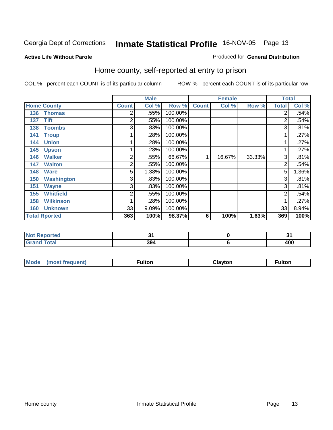#### **Active Life Without Parole**

#### Produced for **General Distribution**

### Home county, self-reported at entry to prison

|                      |                   |              | <b>Male</b> |         |              | <b>Female</b> |        | <b>Total</b>   |       |
|----------------------|-------------------|--------------|-------------|---------|--------------|---------------|--------|----------------|-------|
| <b>Home County</b>   |                   | <b>Count</b> | Col %       | Row %   | <b>Count</b> | Col %         | Row %  | <b>Total</b>   | Col % |
| 136                  | <b>Thomas</b>     | 2            | .55%        | 100.00% |              |               |        | $\overline{2}$ | .54%  |
| 137                  | <b>Tift</b>       | 2            | .55%        | 100.00% |              |               |        | 2              | .54%  |
| 138                  | <b>Toombs</b>     | 3            | .83%        | 100.00% |              |               |        | 3              | .81%  |
| 141                  | <b>Troup</b>      |              | .28%        | 100.00% |              |               |        | $\mathbf 1$    | .27%  |
| 144                  | <b>Union</b>      |              | .28%        | 100.00% |              |               |        | 1              | .27%  |
| 145                  | <b>Upson</b>      |              | .28%        | 100.00% |              |               |        | 1              | .27%  |
| 146                  | <b>Walker</b>     | 2            | .55%        | 66.67%  | 1            | 16.67%        | 33.33% | 3              | .81%  |
| 147                  | <b>Walton</b>     | 2            | .55%        | 100.00% |              |               |        | $\overline{2}$ | .54%  |
| 148                  | <b>Ware</b>       | 5            | 1.38%       | 100.00% |              |               |        | 5              | 1.36% |
| 150                  | <b>Washington</b> | 3            | .83%        | 100.00% |              |               |        | 3              | .81%  |
| 151                  | <b>Wayne</b>      | 3            | .83%        | 100.00% |              |               |        | 3              | .81%  |
| 155                  | <b>Whitfield</b>  | 2            | .55%        | 100.00% |              |               |        | $\overline{2}$ | .54%  |
| 158                  | <b>Wilkinson</b>  |              | .28%        | 100.00% |              |               |        |                | .27%  |
| 160                  | <b>Unknown</b>    | 33           | 9.09%       | 100.00% |              |               |        | 33             | 8.94% |
| <b>Total Rported</b> |                   | 363          | 100%        | 98.37%  | 6            | 100%          | 1.63%  | 369            | 100%  |

| prtea<br>$\sim$ |                   | . .        |
|-----------------|-------------------|------------|
| _____           | 20<br>994<br>-- - | ההו<br>4vv |

| <b>Moo</b><br>זווו | . . <b>. .</b><br>untor | มavton<br>the control of the control of the control of<br>__ | ultor |
|--------------------|-------------------------|--------------------------------------------------------------|-------|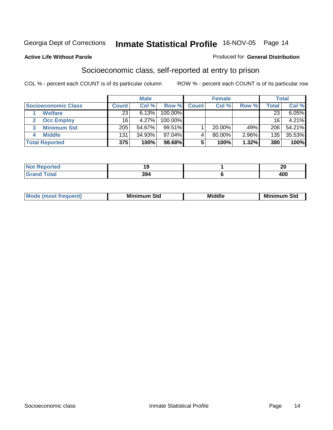#### **Active Life Without Parole**

#### Produced for **General Distribution**

### Socioeconomic class, self-reported at entry to prison

|                            | <b>Male</b>  |        | <b>Female</b> |              |           | <b>Total</b> |       |        |
|----------------------------|--------------|--------|---------------|--------------|-----------|--------------|-------|--------|
| <b>Socioeconomic Class</b> | <b>Count</b> | Col %  | Row %         | <b>Count</b> | Col %     | Row %        | Total | Col %  |
| <b>Welfare</b>             | 23           | 6.13%  | 100.00%       |              |           |              | 23    | 6.05%  |
| <b>Occ Employ</b>          | 16           | 4.27%  | $100.00\%$    |              |           |              | 16    | 4.21%  |
| <b>Minimum Std</b>         | 205          | 54.67% | 99.51%        |              | $20.00\%$ | .49%         | 206   | 54.21% |
| <b>Middle</b>              | 131          | 34.93% | $97.04\%$     |              | 80.00%    | 2.96%        | 135   | 35.53% |
| <b>Total Reported</b>      | 375          | 100%   | 98.68%        |              | 100%      | 1.32%        | 380   | 100%   |

| <b>Construction Construction</b><br>тео | . . | - -<br>∼   |
|-----------------------------------------|-----|------------|
| $-1 - 1$                                | 394 | <b>Anr</b> |

| <b>Minin</b><br>Std<br>3td<br>aic<br>.<br>____ |
|------------------------------------------------|
|------------------------------------------------|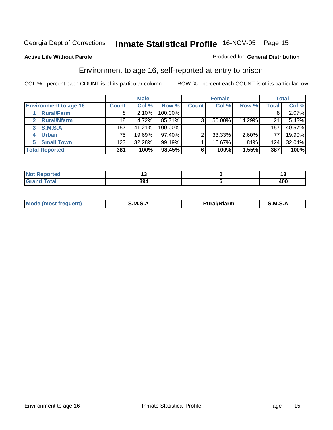#### **Active Life Without Parole**

#### Produced for **General Distribution**

### Environment to age 16, self-reported at entry to prison

|                              |              | <b>Male</b> |           |              | <b>Female</b> |        |       | <b>Total</b> |
|------------------------------|--------------|-------------|-----------|--------------|---------------|--------|-------|--------------|
| <b>Environment to age 16</b> | <b>Count</b> | Col %       | Row %     | <b>Count</b> | Col %         | Row %  | Total | Col %        |
| <b>Rural/Farm</b>            | 8            | 2.10%       | 100.00%   |              |               |        |       | 2.07%        |
| <b>Rural/Nfarm</b><br>2      | 18           | 4.72%       | 85.71%    | 3            | 50.00%        | 14.29% | 21    | 5.43%        |
| S.M.S.A<br>3                 | 157          | 41.21%      | 100.00%   |              |               |        | 157   | 40.57%       |
| <b>Urban</b>                 | 75           | 19.69%      | $97.40\%$ | っ            | 33.33%        | 2.60%  | 77    | 19.90%       |
| <b>Small Town</b><br>5.      | 123          | 32.28%      | 99.19%    |              | 16.67%        | .81%   | 124   | 32.04%       |
| <b>Total Reported</b>        | 381          | 100%        | 98.45%    | 6            | 100%          | 1.55%  | 387   | 100%         |

| <b>orted</b><br>NO)   |               |            |
|-----------------------|---------------|------------|
| <b>Total</b><br>Grand | ິ<br>.<br>994 | 400<br>1vv |

| M<br>.<br>$.1$ ant'<br>lfarm<br>n.<br>M<br>M |  |  |
|----------------------------------------------|--|--|
|                                              |  |  |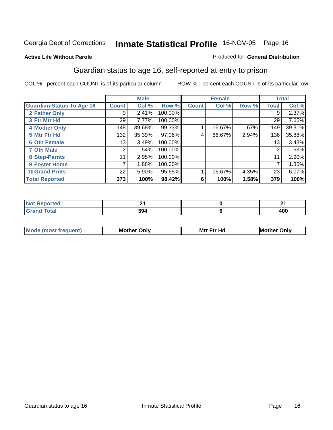#### **Active Life Without Parole**

#### Produced for **General Distribution**

### Guardian status to age 16, self-reported at entry to prison

|                                  |              | <b>Male</b> |         |              | <b>Female</b> |       |       | <b>Total</b> |
|----------------------------------|--------------|-------------|---------|--------------|---------------|-------|-------|--------------|
| <b>Guardian Status To Age 16</b> | <b>Count</b> | Col %       | Row %   | <b>Count</b> | Col %         | Row % | Total | Col %        |
| 2 Father Only                    | 9            | 2.41%       | 100.00% |              |               |       | 9     | 2.37%        |
| 3 Ftr Mtr Hd                     | 29           | 7.77%       | 100.00% |              |               |       | 29    | 7.65%        |
| <b>4 Mother Only</b>             | 148          | 39.68%      | 99.33%  |              | 16.67%        | .67%  | 149   | 39.31%       |
| 5 Mtr Ftr Hd                     | 132          | 35.39%      | 97.06%  | 4            | 66.67%        | 2.94% | 136   | 35.88%       |
| <b>6 Oth Female</b>              | 13           | 3.49%       | 100.00% |              |               |       | 13    | 3.43%        |
| <b>7 Oth Male</b>                | 2            | .54%        | 100.00% |              |               |       | 2     | .53%         |
| 8 Step-Parnts                    | 11           | 2.95%       | 100.00% |              |               |       | 11    | $2.90\%$     |
| 9 Foster Home                    | 7            | 1.88%       | 100.00% |              |               |       |       | 1.85%        |
| <b>10 Grand Prnts</b>            | 22           | 5.90%       | 95.65%  |              | 16.67%        | 4.35% | 23    | 6.07%        |
| <b>Total Reported</b>            | 373          | 100%        | 98.42%  | 6            | 100%          | 1.58% | 379   | 100%         |

|         | л.<br>_    |
|---------|------------|
| חפ<br>. | ៱៱៱<br>40U |

| <b>Mod</b> | <b>Mother</b><br>Onlv | Hc<br>. <u>.</u><br>Mtr | Only |
|------------|-----------------------|-------------------------|------|
|            |                       |                         |      |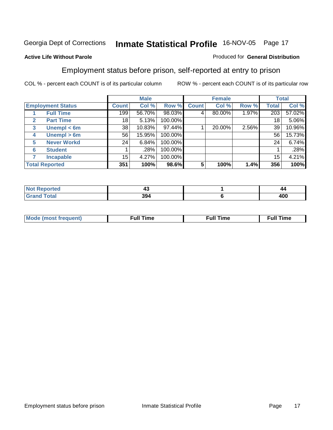#### **Active Life Without Parole**

#### Produced for **General Distribution**

### Employment status before prison, self-reported at entry to prison

|                                  |                    | <b>Male</b>  |        | <b>Female</b> |              |        | <b>Total</b> |       |        |
|----------------------------------|--------------------|--------------|--------|---------------|--------------|--------|--------------|-------|--------|
| <b>Employment Status</b>         |                    | <b>Count</b> | Col %  | Row %         | <b>Count</b> | Col %  | Row %        | Total | Col %  |
| <b>Full Time</b>                 |                    | 199          | 56.70% | 98.03%        |              | 80.00% | 1.97%        | 203   | 57.02% |
| <b>Part Time</b><br>$\mathbf{2}$ |                    | 18           | 5.13%  | 100.00%       |              |        |              | 18    | 5.06%  |
| 3                                | Unempl $<$ 6m      | 38           | 10.83% | 97.44%        |              | 20.00% | 2.56%        | 39    | 10.96% |
| 4                                | Unempl > 6m        | 56           | 15.95% | 100.00%       |              |        |              | 56    | 15.73% |
| 5                                | <b>Never Workd</b> | 24           | 6.84%  | 100.00%       |              |        |              | 24    | 6.74%  |
| <b>Student</b><br>6              |                    |              | .28%   | 100.00%       |              |        |              |       | .28%   |
| <b>Incapable</b>                 |                    | 15           | 4.27%  | 100.00%       |              |        |              | 15    | 4.21%  |
| <b>Total Reported</b>            |                    | 351          | 100%   | 98.6%         | 5            | 100%   | 1.4%         | 356   | 100%   |

|             | ∼   | 44  |
|-------------|-----|-----|
| $- - - - -$ | 394 | 400 |

| Mo | un | ur<br>the contract of the contract of the contract of the contract of the contract of the contract of the contract of | <b>Full Time</b> |
|----|----|-----------------------------------------------------------------------------------------------------------------------|------------------|
|    |    |                                                                                                                       |                  |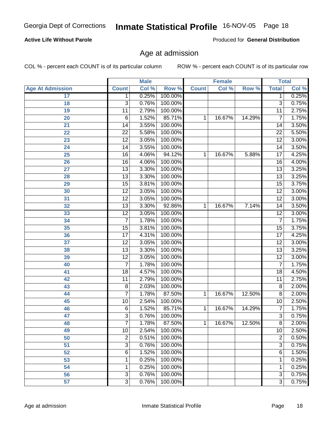#### **Active Life Without Parole**

Produced for **General Distribution**

### Age at admission

|                         |                 | <b>Male</b> |         |              | <b>Female</b> |        |                 | <b>Total</b> |
|-------------------------|-----------------|-------------|---------|--------------|---------------|--------|-----------------|--------------|
| <b>Age At Admission</b> | <b>Count</b>    | Col %       | Row %   | <b>Count</b> | Col %         | Row %  | <b>Total</b>    | Col %        |
| 17                      | 1               | 0.25%       | 100.00% |              |               |        | 1               | 0.25%        |
| 18                      | 3               | 0.76%       | 100.00% |              |               |        | $\overline{3}$  | 0.75%        |
| 19                      | 11              | 2.79%       | 100.00% |              |               |        | $\overline{11}$ | 2.75%        |
| 20                      | 6               | 1.52%       | 85.71%  | 1            | 16.67%        | 14.29% | 7               | 1.75%        |
| 21                      | 14              | 3.55%       | 100.00% |              |               |        | 14              | 3.50%        |
| 22                      | $\overline{22}$ | 5.58%       | 100.00% |              |               |        | $\overline{22}$ | 5.50%        |
| 23                      | $\overline{12}$ | 3.05%       | 100.00% |              |               |        | $\overline{12}$ | 3.00%        |
| 24                      | 14              | 3.55%       | 100.00% |              |               |        | 14              | 3.50%        |
| $\overline{25}$         | 16              | 4.06%       | 94.12%  | 1            | 16.67%        | 5.88%  | 17              | 4.25%        |
| 26                      | 16              | 4.06%       | 100.00% |              |               |        | 16              | 4.00%        |
| 27                      | $\overline{13}$ | 3.30%       | 100.00% |              |               |        | $\overline{13}$ | 3.25%        |
| 28                      | 13              | 3.30%       | 100.00% |              |               |        | $\overline{13}$ | 3.25%        |
| 29                      | $\overline{15}$ | 3.81%       | 100.00% |              |               |        | $\overline{15}$ | 3.75%        |
| 30                      | $\overline{12}$ | 3.05%       | 100.00% |              |               |        | $\overline{12}$ | 3.00%        |
| 31                      | $\overline{12}$ | 3.05%       | 100.00% |              |               |        | $\overline{12}$ | 3.00%        |
| 32                      | 13              | 3.30%       | 92.86%  | 1            | 16.67%        | 7.14%  | 14              | 3.50%        |
| 33                      | $\overline{12}$ | 3.05%       | 100.00% |              |               |        | $\overline{12}$ | 3.00%        |
| 34                      | $\overline{7}$  | 1.78%       | 100.00% |              |               |        | 7               | 1.75%        |
| 35                      | 15              | 3.81%       | 100.00% |              |               |        | $\overline{15}$ | 3.75%        |
| 36                      | 17              | 4.31%       | 100.00% |              |               |        | 17              | 4.25%        |
| $\overline{37}$         | $\overline{12}$ | 3.05%       | 100.00% |              |               |        | $\overline{12}$ | 3.00%        |
| 38                      | $\overline{13}$ | 3.30%       | 100.00% |              |               |        | $\overline{13}$ | 3.25%        |
| 39                      | $\overline{12}$ | 3.05%       | 100.00% |              |               |        | $\overline{12}$ | 3.00%        |
| 40                      | 7               | 1.78%       | 100.00% |              |               |        | 7               | 1.75%        |
| 41                      | 18              | 4.57%       | 100.00% |              |               |        | 18              | 4.50%        |
| 42                      | 11              | 2.79%       | 100.00% |              |               |        | 11              | 2.75%        |
| 43                      | 8               | 2.03%       | 100.00% |              |               |        | $\overline{8}$  | 2.00%        |
| 44                      | 7               | 1.78%       | 87.50%  | 1            | 16.67%        | 12.50% | 8               | 2.00%        |
| 45                      | 10              | 2.54%       | 100.00% |              |               |        | 10              | 2.50%        |
| 46                      | 6               | 1.52%       | 85.71%  | 1            | 16.67%        | 14.29% | 7               | 1.75%        |
| 47                      | 3               | 0.76%       | 100.00% |              |               |        | $\overline{3}$  | 0.75%        |
| 48                      | 7               | 1.78%       | 87.50%  | 1            | 16.67%        | 12.50% | 8               | 2.00%        |
| 49                      | 10              | 2.54%       | 100.00% |              |               |        | 10              | 2.50%        |
| 50                      | $\overline{2}$  | 0.51%       | 100.00% |              |               |        | $\overline{2}$  | 0.50%        |
| 51                      | $\overline{3}$  | 0.76%       | 100.00% |              |               |        | $\overline{3}$  | 0.75%        |
| 52                      | 6               | 1.52%       | 100.00% |              |               |        | 6               | 1.50%        |
| 53                      | 1               | 0.25%       | 100.00% |              |               |        | 1               | 0.25%        |
| 54                      | 1               | 0.25%       | 100.00% |              |               |        | 1               | 0.25%        |
| 56                      | $\overline{3}$  | 0.76%       | 100.00% |              |               |        | $\overline{3}$  | 0.75%        |
| 57                      | $\overline{3}$  | 0.76%       | 100.00% |              |               |        | $\overline{3}$  | 0.75%        |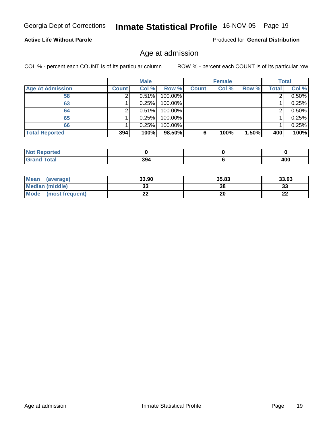#### **Active Life Without Parole**

Produced for **General Distribution**

### Age at admission

|                         |              | <b>Male</b> |         |              | <b>Female</b> |       |       | <b>Total</b> |
|-------------------------|--------------|-------------|---------|--------------|---------------|-------|-------|--------------|
| <b>Age At Admission</b> | <b>Count</b> | Col %       | Row %   | <b>Count</b> | Col %         | Row % | Total | Col %        |
| 58                      |              | $0.51\%$    | 100.00% |              |               |       |       | 0.50%        |
| 63                      |              | 0.25%       | 100.00% |              |               |       |       | 0.25%        |
| 64                      |              | 0.51%       | 100.00% |              |               |       |       | 0.50%        |
| 65                      |              | 0.25%       | 100.00% |              |               |       |       | 0.25%        |
| 66                      |              | 0.25%       | 100.00% |              |               |       |       | 0.25%        |
| <b>Total Reported</b>   | 394          | 100%        | 98.50%  | 6            | 100%          | 1.50% | 400   | 100%         |

| w<br>. Reported<br>$\sim$       |     |     |
|---------------------------------|-----|-----|
| $\mathcal{L}$ and $\mathcal{L}$ | nn. | ,,, |
| ______                          | 394 | טע  |

| <b>Mean</b><br>(average)       | 33.90 | 35.83 | 33.93        |
|--------------------------------|-------|-------|--------------|
| <b>Median (middle)</b>         | JJ    | 38    | 33           |
| <b>Mode</b><br>(most frequent) |       | 20    | $\sim$<br>LL |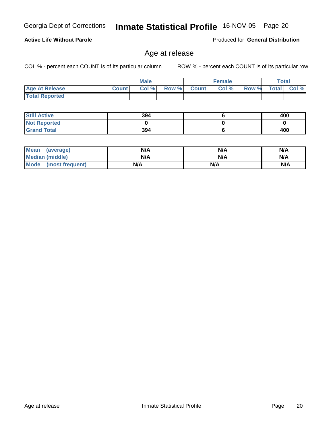**Not Reported Grand Total**

 **Still Active**

 **Total Reported**

| <b>Mean</b><br>(average) | N/A | N/A | N/A |
|--------------------------|-----|-----|-----|
| <b>Median (middle)</b>   | N/A | N/A | N/A |
| Mode (most frequent)     | N/A | N/A | N/A |

 **Age At Release Count Col % Row % Count Col % Row % Total Col %** 

#### Age at release

**Male**

 **394 0 394**

COL % - percent each COUNT is of its particular column ROW % - percent each COUNT is of its particular row

 **6 0 6**

Georgia Dept of Corrections **Inmate Statistical Profile** 16-NOV-05 Page 20

**Active Life Without Parole** 

Produced for **General Distribution**

**Female Total**

 **400 0 400**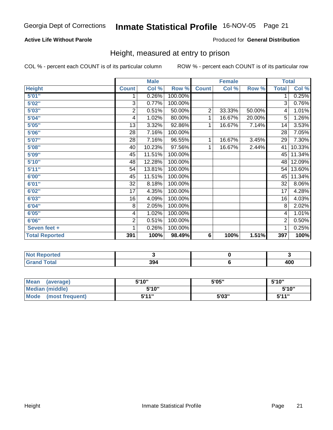#### **Active Life Without Parole**

#### Produced for **General Distribution**

### Height, measured at entry to prison

|                       |                | <b>Male</b> |         |                | <b>Female</b> |        | <b>Total</b>    |        |
|-----------------------|----------------|-------------|---------|----------------|---------------|--------|-----------------|--------|
| <b>Height</b>         | <b>Count</b>   | Col %       | Row %   | <b>Count</b>   | Col %         | Row %  | <b>Total</b>    | Col %  |
| 5'01''                | 1              | 0.26%       | 100.00% |                |               |        | 1               | 0.25%  |
| 5'02"                 | 3              | 0.77%       | 100.00% |                |               |        | 3               | 0.76%  |
| 5'03"                 | 2              | 0.51%       | 50.00%  | $\overline{2}$ | 33.33%        | 50.00% | 4               | 1.01%  |
| 5'04"                 | 4              | 1.02%       | 80.00%  | 1              | 16.67%        | 20.00% | 5               | 1.26%  |
| 5'05"                 | 13             | 3.32%       | 92.86%  | 1              | 16.67%        | 7.14%  | 14              | 3.53%  |
| 5'06''                | 28             | 7.16%       | 100.00% |                |               |        | $\overline{28}$ | 7.05%  |
| 5'07''                | 28             | 7.16%       | 96.55%  | 1              | 16.67%        | 3.45%  | 29              | 7.30%  |
| 5'08"                 | 40             | 10.23%      | 97.56%  | 1              | 16.67%        | 2.44%  | 41              | 10.33% |
| 5'09''                | 45             | 11.51%      | 100.00% |                |               |        | 45              | 11.34% |
| 5'10''                | 48             | 12.28%      | 100.00% |                |               |        | 48              | 12.09% |
| 5'11''                | 54             | 13.81%      | 100.00% |                |               |        | 54              | 13.60% |
| 6'00"                 | 45             | 11.51%      | 100.00% |                |               |        | 45              | 11.34% |
| 6'01"                 | 32             | 8.18%       | 100.00% |                |               |        | 32              | 8.06%  |
| 6'02"                 | 17             | 4.35%       | 100.00% |                |               |        | 17              | 4.28%  |
| 6'03"                 | 16             | 4.09%       | 100.00% |                |               |        | 16              | 4.03%  |
| 6'04"                 | 8              | 2.05%       | 100.00% |                |               |        | 8               | 2.02%  |
| 6'05"                 | 4              | 1.02%       | 100.00% |                |               |        | 4               | 1.01%  |
| 6'06"                 | $\overline{c}$ | 0.51%       | 100.00% |                |               |        | 2               | 0.50%  |
| Seven feet +          | 1              | 0.26%       | 100.00% |                |               |        | 1               | 0.25%  |
| <b>Total Reported</b> | 391            | 100%        | 98.49%  | 6              | 100%          | 1.51%  | 397             | 100%   |

| portea<br>.                                  |              |     |
|----------------------------------------------|--------------|-----|
| $\sim$<br>$\sim$ $\sim$ $\sim$ $\sim$ $\sim$ | 201<br>$  -$ | 400 |

| Mean<br>(average)              | 5'10" | 5'05" | 5'10"        |
|--------------------------------|-------|-------|--------------|
| Median (middle)                | 5'10" |       | 5'10"        |
| <b>Mode</b><br>(most frequent) | 5'11" | 5'03" | <b>5'14"</b> |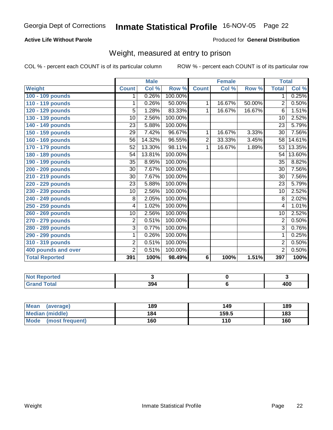#### **Active Life Without Parole**

#### Produced for **General Distribution**

### Weight, measured at entry to prison

|                       |                 | <b>Male</b> |         |              | <b>Female</b> |        | <b>Total</b>            |        |
|-----------------------|-----------------|-------------|---------|--------------|---------------|--------|-------------------------|--------|
| Weight                | <b>Count</b>    | Col %       | Row %   | <b>Count</b> | Col %         | Row %  | <b>Total</b>            | Col %  |
| 100 - 109 pounds      | 1               | 0.26%       | 100.00% |              |               |        | 1                       | 0.25%  |
| 110 - 119 pounds      | 1               | 0.26%       | 50.00%  | 1            | 16.67%        | 50.00% | 2                       | 0.50%  |
| 120 - 129 pounds      | 5               | 1.28%       | 83.33%  | 1            | 16.67%        | 16.67% | 6                       | 1.51%  |
| 130 - 139 pounds      | 10              | 2.56%       | 100.00% |              |               |        | 10                      | 2.52%  |
| 140 - 149 pounds      | 23              | 5.88%       | 100.00% |              |               |        | 23                      | 5.79%  |
| 150 - 159 pounds      | 29              | 7.42%       | 96.67%  | 1            | 16.67%        | 3.33%  | 30                      | 7.56%  |
| 160 - 169 pounds      | 56              | 14.32%      | 96.55%  | 2            | 33.33%        | 3.45%  | 58                      | 14.61% |
| 170 - 179 pounds      | 52              | 13.30%      | 98.11%  | 1            | 16.67%        | 1.89%  | 53                      | 13.35% |
| 180 - 189 pounds      | 54              | 13.81%      | 100.00% |              |               |        | 54                      | 13.60% |
| 190 - 199 pounds      | $\overline{35}$ | 8.95%       | 100.00% |              |               |        | 35                      | 8.82%  |
| 200 - 209 pounds      | $\overline{30}$ | 7.67%       | 100.00% |              |               |        | 30                      | 7.56%  |
| 210 - 219 pounds      | $\overline{30}$ | 7.67%       | 100.00% |              |               |        | $\overline{30}$         | 7.56%  |
| 220 - 229 pounds      | $\overline{23}$ | 5.88%       | 100.00% |              |               |        | $\overline{23}$         | 5.79%  |
| 230 - 239 pounds      | 10              | 2.56%       | 100.00% |              |               |        | 10                      | 2.52%  |
| 240 - 249 pounds      | $\overline{8}$  | 2.05%       | 100.00% |              |               |        | 8                       | 2.02%  |
| 250 - 259 pounds      | 4               | 1.02%       | 100.00% |              |               |        | $\overline{\mathbf{4}}$ | 1.01%  |
| 260 - 269 pounds      | 10              | 2.56%       | 100.00% |              |               |        | $\overline{10}$         | 2.52%  |
| 270 - 279 pounds      | 2               | 0.51%       | 100.00% |              |               |        | $\overline{2}$          | 0.50%  |
| 280 - 289 pounds      | 3               | 0.77%       | 100.00% |              |               |        | $\overline{3}$          | 0.76%  |
| 290 - 299 pounds      | 1               | 0.26%       | 100.00% |              |               |        | 1                       | 0.25%  |
| 310 - 319 pounds      | $\overline{2}$  | 0.51%       | 100.00% |              |               |        | 2                       | 0.50%  |
| 400 pounds and over   | $\overline{2}$  | 0.51%       | 100.00% |              |               |        | $\overline{2}$          | 0.50%  |
| <b>Total Reported</b> | 391             | 100%        | 98.49%  | 6            | 100%          | 1.51%  | 397                     | 100%   |

| Reported     |     |     |
|--------------|-----|-----|
| <b>Fotal</b> | 394 | 400 |

| Mean<br>(average)              | 189 | 149   | 189 |
|--------------------------------|-----|-------|-----|
| <b>Median (middle)</b>         | 184 | 159.5 | 183 |
| <b>Mode</b><br>(most frequent) | 160 | 110   | 160 |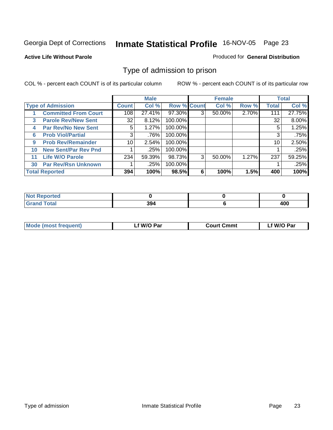#### **Active Life Without Parole**

#### Produced for **General Distribution**

### Type of admission to prison

|                          |                             | <b>Male</b>     |        |                    | <b>Female</b> |        |       | <b>Total</b> |        |
|--------------------------|-----------------------------|-----------------|--------|--------------------|---------------|--------|-------|--------------|--------|
| <b>Type of Admission</b> |                             | <b>Count</b>    | Col %  | <b>Row % Count</b> |               | Col %  | Row % | <b>Total</b> | Col %  |
|                          | <b>Committed From Court</b> | 108             | 27.41% | 97.30%             | 3             | 50.00% | 2.70% | 111          | 27.75% |
| 3                        | <b>Parole Rev/New Sent</b>  | 32              | 8.12%  | 100.00%            |               |        |       | 32           | 8.00%  |
| 4                        | <b>Par Rev/No New Sent</b>  | 5               | 1.27%  | 100.00%            |               |        |       | 5            | 1.25%  |
| 6                        | <b>Prob Viol/Partial</b>    | 3               | .76%   | 100.00%            |               |        |       | 3            | .75%   |
| 9                        | <b>Prob Rev/Remainder</b>   | 10 <sup>1</sup> | 2.54%  | 100.00%            |               |        |       | 10           | 2.50%  |
| 10                       | <b>New Sent/Par Rev Pnd</b> |                 | .25%   | 100.00%            |               |        |       |              | .25%   |
| 11                       | <b>Life W/O Parole</b>      | 234             | 59.39% | 98.73%             | 3             | 50.00% | 1.27% | 237          | 59.25% |
| 30                       | <b>Par Rev/Rsn Unknown</b>  |                 | .25%   | 100.00%            |               |        |       |              | .25%   |
| <b>Total Reported</b>    |                             | 394             | 100%   | 98.5%              | 6             | 100%   | 1.5%  | 400          | 100%   |

| ported:<br>NOT                                   |             |            |
|--------------------------------------------------|-------------|------------|
| <b>Total</b><br>Cror<br>$\sim$ . $\sim$ . $\sim$ | 201<br>-994 | 100<br>40L |

| <b>Mode (most frequent)</b> | f W/O Par | <b>Court Cmmt</b> | `W/O Par |
|-----------------------------|-----------|-------------------|----------|
|                             |           |                   |          |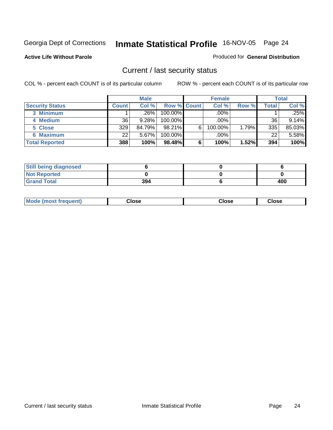#### **Active Life Without Parole**

#### Produced for **General Distribution**

### Current / last security status

|                        | <b>Male</b>  |        |                    | <b>Female</b> |         |       | <b>Total</b> |        |
|------------------------|--------------|--------|--------------------|---------------|---------|-------|--------------|--------|
| <b>Security Status</b> | <b>Count</b> | Col %  | <b>Row % Count</b> |               | Col %   | Row % | Total        | Col %  |
| 3 Minimum              |              | .26%   | $100.00\%$         |               | .00%    |       |              | .25%   |
| 4 Medium               | 36           | 9.28%  | 100.00%            |               | $.00\%$ |       | 36           | 9.14%  |
| 5 Close                | 329          | 84.79% | 98.21%             | 6             | 100.00% | 1.79% | 335          | 85.03% |
| <b>6 Maximum</b>       | 22           | 5.67%  | 100.00%            |               | $.00\%$ |       | 22           | 5.58%  |
| <b>Total Reported</b>  | 388          | 100%   | 98.48%             | 6             | 100%    | 1.52% | 394          | 100%   |

| <b>Still being diagnosed</b> |     |     |
|------------------------------|-----|-----|
| <b>Not Reported</b>          |     |     |
| <b>Sand Total</b>            | 394 | 400 |

| Mode (most frequent)<br>Close<br>oseت<br>Close |
|------------------------------------------------|
|------------------------------------------------|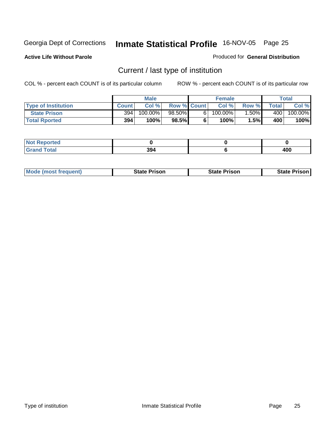**Active Life Without Parole** 

Produced for **General Distribution**

### Current / last type of institution

|                            | <b>Male</b>  |            |                    | <b>Female</b> |            |          | <b>Total</b> |         |
|----------------------------|--------------|------------|--------------------|---------------|------------|----------|--------------|---------|
| <b>Type of Institution</b> | <b>Count</b> | Col %      | <b>Row % Count</b> |               | Col %      | Row %    | Total        | Col %   |
| <b>State Prison</b>        | 394          | $100.00\%$ | 98.50%             |               | $100.00\%$ | $1.50\%$ | 400 l        | 100.00% |
| <b>Total Rported</b>       | 394          | 100%       | 98.5%              |               | $100\%$    | 1.5%     | 400          | 100%    |

| ×eporteα<br>$\sim$ |             |     |
|--------------------|-------------|-----|
| <b>ota</b>         | 20,<br>-994 | 400 |

|  | <b>Mode (most frequent)</b> | <b>State Prison</b> | <b>State Prison</b> | <b>State Prison</b> |
|--|-----------------------------|---------------------|---------------------|---------------------|
|--|-----------------------------|---------------------|---------------------|---------------------|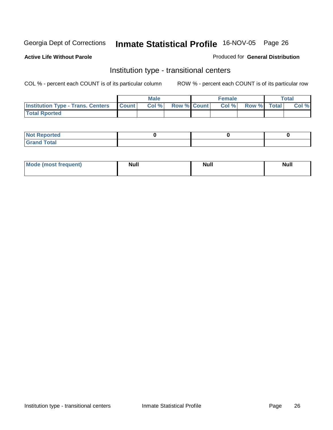#### **Active Life Without Parole**

#### Produced for **General Distribution**

### Institution type - transitional centers

|                                                | Male |       |                    | <b>Female</b> |  |                   | Total |       |
|------------------------------------------------|------|-------|--------------------|---------------|--|-------------------|-------|-------|
| <b>Institution Type - Trans. Centers Count</b> |      | Col % | <b>Row % Count</b> |               |  | Col % Row % Total |       | Col % |
| <b>Total Rported</b>                           |      |       |                    |               |  |                   |       |       |

| <b>Not Reported</b>               |  |  |
|-----------------------------------|--|--|
| <b>Total</b><br>$C$ rar<br>$\sim$ |  |  |

| Mode (most frequent) | <b>Null</b> | <b>Null</b> | <b>Null</b> |
|----------------------|-------------|-------------|-------------|
|                      |             |             |             |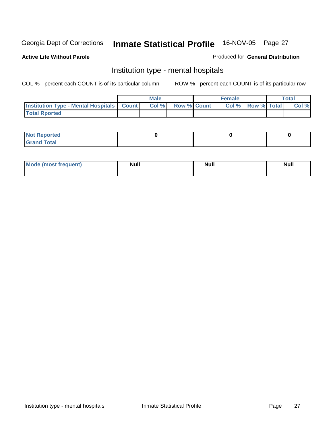#### **Active Life Without Parole**

#### Produced for **General Distribution**

### Institution type - mental hospitals

|                                                      | <b>Male</b> |                    | <b>Female</b> |                    | Total |
|------------------------------------------------------|-------------|--------------------|---------------|--------------------|-------|
| <b>Institution Type - Mental Hospitals   Count  </b> | Col%        | <b>Row % Count</b> | Col%          | <b>Row % Total</b> | Col % |
| <b>Total Rported</b>                                 |             |                    |               |                    |       |

| <b>Not Reported</b> |  |  |
|---------------------|--|--|
| <b>Total</b><br>r.  |  |  |

| Mode (most frequent) | <b>Null</b> | <b>Null</b> | <b>Null</b> |
|----------------------|-------------|-------------|-------------|
|                      |             |             |             |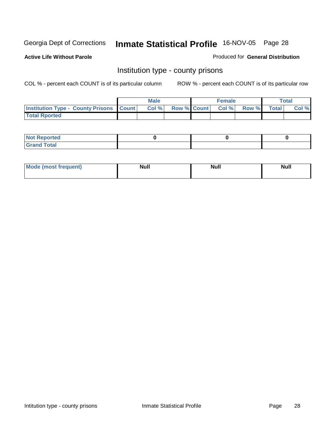**Active Life Without Parole** 

Produced for **General Distribution**

### Institution type - county prisons

|                                                    | <b>Male</b> |      |                    | <b>Female</b> |       |       | <b>Total</b> |       |
|----------------------------------------------------|-------------|------|--------------------|---------------|-------|-------|--------------|-------|
| <b>Institution Type - County Prisons   Count  </b> |             | Col% | <b>Row % Count</b> |               | Col % | Row % | <b>Total</b> | Col % |
| <b>Total Rported</b>                               |             |      |                    |               |       |       |              |       |

| <b>Not</b><br>Reported      |  |  |
|-----------------------------|--|--|
| d Total<br>'Grand<br>$\sim$ |  |  |

| <b>Mode</b><br><b>ost frequent)</b> | <b>Null</b> | <b>Modl</b><br>'YUI. | <b>Null</b> |
|-------------------------------------|-------------|----------------------|-------------|
|                                     |             |                      |             |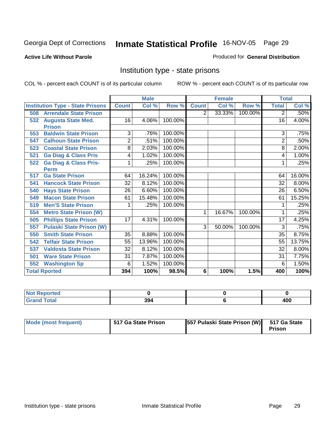#### **Active Life Without Parole**

#### Produced for **General Distribution**

### Institution type - state prisons

|     |                                         |                | <b>Male</b> |         |              | <b>Female</b> | <b>Total</b> |                |        |
|-----|-----------------------------------------|----------------|-------------|---------|--------------|---------------|--------------|----------------|--------|
|     | <b>Institution Type - State Prisons</b> | <b>Count</b>   | Col %       | Row %   | <b>Count</b> | Col %         | Row %        | <b>Total</b>   | Col %  |
| 508 | <b>Arrendale State Prison</b>           |                |             |         | 2            | 33.33%        | 100.00%      | 2              | .50%   |
| 532 | <b>Augusta State Med.</b>               | 16             | 4.06%       | 100.00% |              |               |              | 16             | 4.00%  |
|     | <b>Prison</b>                           |                |             |         |              |               |              |                |        |
| 553 | <b>Baldwin State Prison</b>             | 3              | .76%        | 100.00% |              |               |              | 3              | .75%   |
| 547 | <b>Calhoun State Prison</b>             | $\overline{2}$ | .51%        | 100.00% |              |               |              | $\overline{2}$ | .50%   |
| 523 | <b>Coastal State Prison</b>             | 8              | 2.03%       | 100.00% |              |               |              | 8              | 2.00%  |
| 521 | <b>Ga Diag &amp; Class Pris</b>         | 4              | 1.02%       | 100.00% |              |               |              | 4              | 1.00%  |
| 522 | <b>Ga Diag &amp; Class Pris-</b>        | 1              | .25%        | 100.00% |              |               |              | 1              | .25%   |
|     | <b>Perm</b>                             |                |             |         |              |               |              |                |        |
| 517 | <b>Ga State Prison</b>                  | 64             | 16.24%      | 100.00% |              |               |              | 64             | 16.00% |
| 541 | <b>Hancock State Prison</b>             | 32             | 8.12%       | 100.00% |              |               |              | 32             | 8.00%  |
| 540 | <b>Hays State Prison</b>                | 26             | 6.60%       | 100.00% |              |               |              | 26             | 6.50%  |
| 549 | <b>Macon State Prison</b>               | 61             | 15.48%      | 100.00% |              |               |              | 61             | 15.25% |
| 519 | <b>Men'S State Prison</b>               |                | .25%        | 100.00% |              |               |              |                | .25%   |
| 554 | <b>Metro State Prison (W)</b>           |                |             |         | 1            | 16.67%        | 100.00%      | 1              | .25%   |
| 505 | <b>Phillips State Prison</b>            | 17             | 4.31%       | 100.00% |              |               |              | 17             | 4.25%  |
| 557 | <b>Pulaski State Prison (W)</b>         |                |             |         | 3            | 50.00%        | 100.00%      | 3              | .75%   |
| 550 | <b>Smith State Prison</b>               | 35             | 8.88%       | 100.00% |              |               |              | 35             | 8.75%  |
| 542 | <b>Telfair State Prison</b>             | 55             | 13.96%      | 100.00% |              |               |              | 55             | 13.75% |
| 537 | <b>Valdosta State Prison</b>            | 32             | 8.12%       | 100.00% |              |               |              | 32             | 8.00%  |
| 501 | <b>Ware State Prison</b>                | 31             | 7.87%       | 100.00% |              |               |              | 31             | 7.75%  |
| 552 | <b>Washington Sp</b>                    | 6              | 1.52%       | 100.00% |              |               |              | 6              | 1.50%  |
|     | <b>Total Rported</b>                    | 394            | 100%        | 98.5%   | 6            | 100%          | 1.5%         | 400            | 100%   |

| ⋌eported<br>NOT      |     |          |
|----------------------|-----|----------|
| <b>Total</b><br>Cror | 394 | חחו<br>. |

| Mode (most frequent) | 517 Ga State Prison | [557 Pulaski State Prison (W) 517 Ga State | Prison |
|----------------------|---------------------|--------------------------------------------|--------|
|----------------------|---------------------|--------------------------------------------|--------|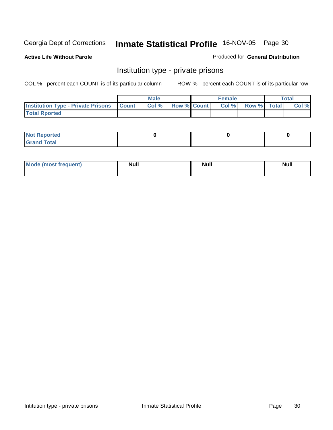#### **Active Life Without Parole**

#### Produced for **General Distribution**

### Institution type - private prisons

|                                                     | <b>Male</b> |      |                    | <b>Female</b> |       |             | <b>Total</b> |       |
|-----------------------------------------------------|-------------|------|--------------------|---------------|-------|-------------|--------------|-------|
| <b>Institution Type - Private Prisons   Count  </b> |             | Col% | <b>Row % Count</b> |               | Col % | Row % Total |              | Col % |
| <b>Total Rported</b>                                |             |      |                    |               |       |             |              |       |

| <b>Not Reported</b>               |  |  |
|-----------------------------------|--|--|
| <b>Total</b><br>$C$ rar<br>$\sim$ |  |  |

| Mode (most frequent) | Null | <b>Null</b> | <b>Null</b> |
|----------------------|------|-------------|-------------|
|                      |      |             |             |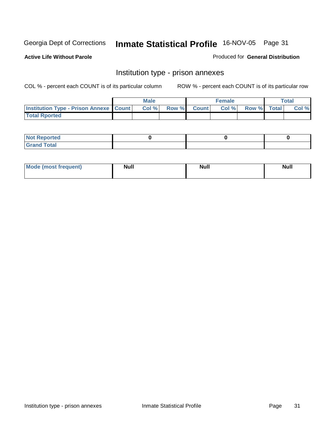**Active Life Without Parole** 

Produced for **General Distribution**

### Institution type - prison annexes

|                                                   | <b>Male</b> |       |  |             | <b>Female</b> | <b>Total</b> |  |       |
|---------------------------------------------------|-------------|-------|--|-------------|---------------|--------------|--|-------|
| <b>Institution Type - Prison Annexe   Count  </b> |             | Col % |  | Row % Count | Col%          | Row % Total  |  | Col % |
| <b>Total Rported</b>                              |             |       |  |             |               |              |  |       |

| $N$ nt R<br>Reported         |  |  |
|------------------------------|--|--|
| <b>Total</b><br><b>Grano</b> |  |  |

| Mode (most frequent) | <b>Null</b> | <b>Null</b> | <b>Null</b> |
|----------------------|-------------|-------------|-------------|
|                      |             |             |             |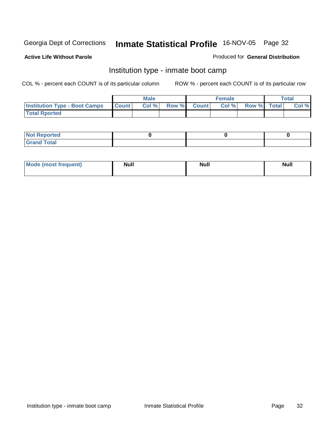**Active Life Without Parole** 

#### Produced for **General Distribution**

### Institution type - inmate boot camp

|                                      | <b>Male</b>  |      |               |              | <b>Female</b> | Total       |  |       |
|--------------------------------------|--------------|------|---------------|--------------|---------------|-------------|--|-------|
| <b>Institution Type - Boot Camps</b> | <b>Count</b> | Col% | <b>Row %I</b> | <b>Count</b> | Col%          | Row % Total |  | Col % |
| <b>Total Rported</b>                 |              |      |               |              |               |             |  |       |

| <b>Not Reported</b> |  |  |
|---------------------|--|--|
| $T0$ tal<br>Cror    |  |  |

| Mode (most frequent) | <b>Null</b> | <b>Null</b> | <b>Null</b> |
|----------------------|-------------|-------------|-------------|
|                      |             |             |             |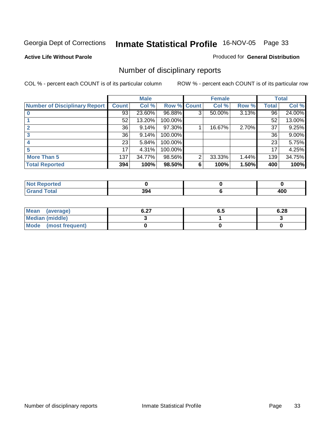#### **Active Life Without Parole**

#### Produced for **General Distribution**

### Number of disciplinary reports

|                                      |              | <b>Male</b> |             |                | <b>Female</b> |       |       | <b>Total</b> |
|--------------------------------------|--------------|-------------|-------------|----------------|---------------|-------|-------|--------------|
| <b>Number of Disciplinary Report</b> | <b>Count</b> | Col %       | Row % Count |                | Col %         | Row % | Total | Col %        |
|                                      | 93           | 23.60%      | 96.88%      | 3              | 50.00%        | 3.13% | 96    | 24.00%       |
|                                      | 52           | 13.20%      | 100.00%     |                |               |       | 52    | 13.00%       |
|                                      | 36           | 9.14%       | 97.30%      |                | 16.67%        | 2.70% | 37    | 9.25%        |
| 3                                    | 36           | 9.14%       | 100.00%     |                |               |       | 36    | $9.00\%$     |
| 4                                    | 23           | 5.84%       | 100.00%     |                |               |       | 23    | 5.75%        |
| 5                                    | 17           | 4.31%       | 100.00%     |                |               |       | 17    | 4.25%        |
| <b>More Than 5</b>                   | 137          | 34.77%      | 98.56%      | $\overline{2}$ | 33.33%        | 1.44% | 139   | 34.75%       |
| <b>Total Reported</b>                | 394          | 100%        | 98.50%      | 6              | 100%          | 1.50% | 400   | 100%         |

| тео<br>N      |                    |                        |
|---------------|--------------------|------------------------|
| $\sim$ $\sim$ | nn<br>-394<br>$ -$ | .<br>m<br>9 V V<br>- - |

| Mean (average)       | 0.27<br>0.Z1 | o.a | 6.28 |
|----------------------|--------------|-----|------|
| Median (middle)      |              |     |      |
| Mode (most frequent) |              |     |      |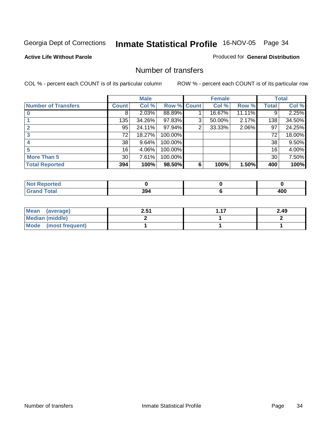#### **Active Life Without Parole**

#### Produced for **General Distribution**

#### Number of transfers

|                            |                    | <b>Male</b> |             |   | <b>Female</b> |        |              | <b>Total</b> |
|----------------------------|--------------------|-------------|-------------|---|---------------|--------|--------------|--------------|
| <b>Number of Transfers</b> | Count <sup>1</sup> | Col %       | Row % Count |   | Col %         | Row %  | <b>Total</b> | Col %        |
|                            | 8                  | 2.03%       | 88.89%      |   | 16.67%        | 11.11% | 9            | 2.25%        |
|                            | 135                | 34.26%      | 97.83%      | 3 | 50.00%        | 2.17%  | 138          | 34.50%       |
|                            | 95                 | 24.11%      | 97.94%      | 2 | 33.33%        | 2.06%  | 97           | 24.25%       |
|                            | 72                 | 18.27%      | 100.00%     |   |               |        | 72           | 18.00%       |
|                            | 38                 | 9.64%       | 100.00%     |   |               |        | 38           | 9.50%        |
|                            | 16                 | 4.06%       | 100.00%     |   |               |        | 16           | 4.00%        |
| <b>More Than 5</b>         | 30 <sup>1</sup>    | 7.61%       | 100.00%     |   |               |        | 30           | 7.50%        |
| <b>Total Reported</b>      | 394                | 100%        | 98.50%      | 6 | 100%          | 1.50%  | 400          | 100%         |

| .<br>тес<br>N |             |                  |
|---------------|-------------|------------------|
|               | 394<br>$ -$ | 10C<br>TVV<br>__ |

| Mean (average)       | 2.51 | $-47$ | 2.49 |
|----------------------|------|-------|------|
| Median (middle)      |      |       |      |
| Mode (most frequent) |      |       |      |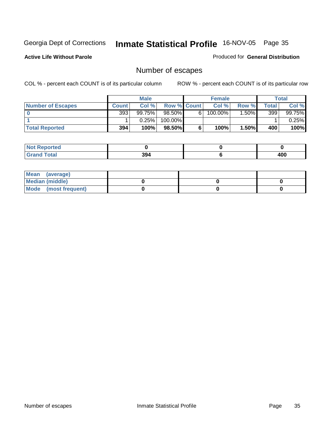**Active Life Without Parole** 

Produced for **General Distribution**

### Number of escapes

|                          | <b>Male</b>  |           |                    | <b>Female</b> |         |         | Total |          |
|--------------------------|--------------|-----------|--------------------|---------------|---------|---------|-------|----------|
| <b>Number of Escapes</b> | <b>Count</b> | Col %     | <b>Row % Count</b> |               | Col %   | Row %   | Total | Col %    |
|                          | 393          | $99.75\%$ | $98.50\%$          | 6.            | 100.00% | $.50\%$ | 399   | 99.75%   |
|                          |              | 0.25%     | 100.00%            |               |         |         |       | $0.25\%$ |
| <b>Total Reported</b>    | 394          | 100%      | 98.50%             | 6             | 100%    | 1.50%   | 400   | 100%     |

| المستقصد<br>rtea<br>NO: |     |     |
|-------------------------|-----|-----|
| <b>Total</b><br>Grand   | 394 | 400 |

| Mean (average)       |  |  |
|----------------------|--|--|
| Median (middle)      |  |  |
| Mode (most frequent) |  |  |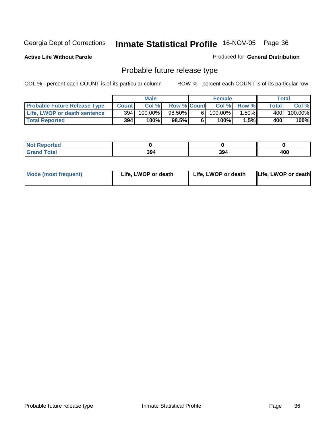**Active Life Without Parole** 

Produced for **General Distribution**

### Probable future release type

|                                     |              | <b>Male</b> |                    |   | <b>Female</b> |        |              | Total   |
|-------------------------------------|--------------|-------------|--------------------|---|---------------|--------|--------------|---------|
| <b>Probable Future Release Type</b> | <b>Count</b> | Col %       | <b>Row % Count</b> |   | Col %         | Row %  | <b>Total</b> | Col %   |
| Life, LWOP or death sentence        | 394          | $100.00\%$  | 98.50%             | 6 | 100.00%       | .50% I | 400          | 100.00% |
| <b>Total Reported</b>               | 394          | 100%        | $98.5\%$           | 6 | $100\%$       | 1.5%   | 400          | $100\%$ |

| <b>rted</b>           |     |     |     |
|-----------------------|-----|-----|-----|
| <b>otal</b><br>------ | 394 | 394 | 400 |

| <b>Mode (most frequent)</b> | Life, LWOP or death | Life, LWOP or death | Life, LWOP or death |
|-----------------------------|---------------------|---------------------|---------------------|
|-----------------------------|---------------------|---------------------|---------------------|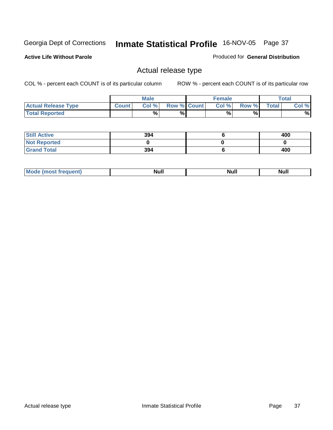**Active Life Without Parole** 

Produced for **General Distribution**

### Actual release type

|                            |        | <b>Male</b> |                    | <b>Female</b> |       |              | Total |
|----------------------------|--------|-------------|--------------------|---------------|-------|--------------|-------|
| <b>Actual Release Type</b> | Count. | Col %       | <b>Row % Count</b> | Col %         | Row % | <b>Total</b> | Col % |
| <b>Total Reported</b>      |        | %           | %                  | %             | %     |              | %     |

| <b>Still Active</b> | 394 | 400 |
|---------------------|-----|-----|
| <b>Not Reported</b> |     |     |
| <b>Grand Total</b>  | 394 | 400 |

| .<br>,,,,,<br>. | лĽ |  |
|-----------------|----|--|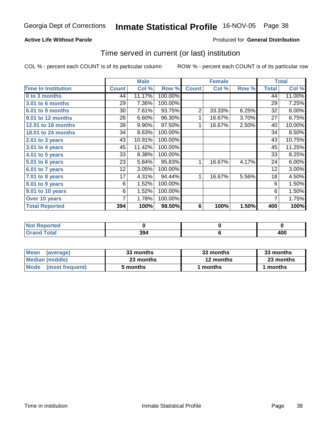### **Active Life Without Parole**

#### Produced for **General Distribution**

### Time served in current (or last) institution

|                            |              | <b>Male</b> |         |                | <b>Female</b> |       |              | <b>Total</b> |
|----------------------------|--------------|-------------|---------|----------------|---------------|-------|--------------|--------------|
| <b>Time In Institution</b> | <b>Count</b> | Col %       | Row %   | <b>Count</b>   | Col %         | Row % | <b>Total</b> | Col %        |
| 0 to 3 months              | 44           | 11.17%      | 100.00% |                |               |       | 44           | 11.00%       |
| 3.01 to 6 months           | 29           | 7.36%       | 100.00% |                |               |       | 29           | 7.25%        |
| 6.01 to 9 months           | 30           | 7.61%       | 93.75%  | $\overline{2}$ | 33.33%        | 6.25% | 32           | 8.00%        |
| 9.01 to 12 months          | 26           | 6.60%       | 96.30%  | 1              | 16.67%        | 3.70% | 27           | 6.75%        |
| 12.01 to 18 months         | 39           | 9.90%       | 97.50%  | 1              | 16.67%        | 2.50% | 40           | 10.00%       |
| 18.01 to 24 months         | 34           | 8.63%       | 100.00% |                |               |       | 34           | 8.50%        |
| 2.01 to 3 years            | 43           | 10.91%      | 100.00% |                |               |       | 43           | 10.75%       |
| 3.01 to 4 years            | 45           | 11.42%      | 100.00% |                |               |       | 45           | 11.25%       |
| $4.01$ to 5 years          | 33           | 8.38%       | 100.00% |                |               |       | 33           | 8.25%        |
| 5.01 to 6 years            | 23           | 5.84%       | 95.83%  | 1              | 16.67%        | 4.17% | 24           | 6.00%        |
| 6.01 to 7 years            | 12           | 3.05%       | 100.00% |                |               |       | 12           | 3.00%        |
| 7.01 to 8 years            | 17           | 4.31%       | 94.44%  | 1              | 16.67%        | 5.56% | 18           | 4.50%        |
| 8.01 to 9 years            | 6            | 1.52%       | 100.00% |                |               |       | 6            | 1.50%        |
| 9.01 to 10 years           | 6            | 1.52%       | 100.00% |                |               |       | 6            | 1.50%        |
| Over 10 years              | 7            | 1.78%       | 100.00% |                |               |       | 7            | 1.75%        |
| <b>Total Reported</b>      | 394          | 100%        | 98.50%  | 6              | 100%          | 1.50% | 400          | 100%         |

| <b>Reported</b><br>INOT F<br>$\cdots$ |     |            |
|---------------------------------------|-----|------------|
| Total                                 | 394 | uur<br>1UU |

| <b>Mean</b><br>(average) | 33 months | 33 months | 33 months |  |
|--------------------------|-----------|-----------|-----------|--|
| Median (middle)          | 23 months | 12 months | 23 months |  |
| Mode (most frequent)     | 5 months  | l months  | 1 months  |  |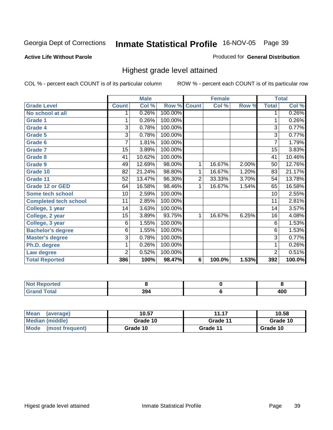#### **Active Life Without Parole**

#### Produced for **General Distribution**

### Highest grade level attained

|                              |                 | <b>Male</b> |                    |   | <b>Female</b> |          |                | <b>Total</b> |
|------------------------------|-----------------|-------------|--------------------|---|---------------|----------|----------------|--------------|
| <b>Grade Level</b>           | <b>Count</b>    | Col %       | <b>Row % Count</b> |   | Col %         | Row %    | <b>Total</b>   | Col %        |
| No school at all             |                 | 0.26%       | 100.00%            |   |               |          | 1              | 0.26%        |
| <b>Grade 1</b>               |                 | 0.26%       | 100.00%            |   |               |          | 1              | 0.26%        |
| <b>Grade 4</b>               | $\overline{3}$  | 0.78%       | 100.00%            |   |               |          | 3              | 0.77%        |
| <b>Grade 5</b>               | 3               | 0.78%       | 100.00%            |   |               |          | 3              | 0.77%        |
| Grade 6                      | 7               | 1.81%       | 100.00%            |   |               |          | 7              | 1.79%        |
| <b>Grade 7</b>               | $\overline{15}$ | 3.89%       | 100.00%            |   |               |          | 15             | 3.83%        |
| <b>Grade 8</b>               | 41              | 10.62%      | 100.00%            |   |               |          | 41             | 10.46%       |
| Grade 9                      | 49              | 12.69%      | 98.00%             | 1 | 16.67%        | $2.00\%$ | 50             | 12.76%       |
| Grade 10                     | 82              | 21.24%      | 98.80%             | 1 | 16.67%        | 1.20%    | 83             | 21.17%       |
| Grade 11                     | 52              | 13.47%      | 96.30%             | 2 | 33.33%        | 3.70%    | 54             | 13.78%       |
| <b>Grade 12 or GED</b>       | 64              | 16.58%      | 98.46%             | 1 | 16.67%        | 1.54%    | 65             | 16.58%       |
| <b>Some tech school</b>      | 10              | 2.59%       | 100.00%            |   |               |          | 10             | 2.55%        |
| <b>Completed tech school</b> | 11              | 2.85%       | 100.00%            |   |               |          | 11             | 2.81%        |
| College, 1 year              | 14              | 3.63%       | $100.00\%$         |   |               |          | 14             | 3.57%        |
| College, 2 year              | 15              | 3.89%       | 93.75%             | 1 | 16.67%        | 6.25%    | 16             | 4.08%        |
| College, 3 year              | 6               | 1.55%       | 100.00%            |   |               |          | 6              | 1.53%        |
| <b>Bachelor's degree</b>     | 6               | 1.55%       | 100.00%            |   |               |          | 6              | 1.53%        |
| <b>Master's degree</b>       | 3               | 0.78%       | 100.00%            |   |               |          | 3              | 0.77%        |
| Ph.D. degree                 | 1               | 0.26%       | 100.00%            |   |               |          | 1              | 0.26%        |
| Law degree                   | 2               | 0.52%       | 100.00%            |   |               |          | $\overline{2}$ | 0.51%        |
| <b>Total Reported</b>        | 386             | 100%        | 98.47%             | 6 | 100.0%        | 1.53%    | 392            | 100.0%       |

| <b>Not Reported</b>    |     |     |
|------------------------|-----|-----|
| <b>Total</b><br>'Grand | 394 | 400 |

| Mean<br>(average)       | 10.57    | 11.17    | 10.58    |
|-------------------------|----------|----------|----------|
| Median (middle)         | Grade 10 | Grade 11 | Grade 10 |
| Mode<br>(most frequent) | Grade 10 | Grade 11 | Grade 10 |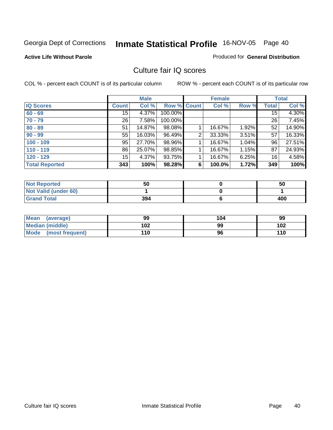#### **Active Life Without Parole**

#### Produced for **General Distribution**

### Culture fair IQ scores

|                       |                  | <b>Male</b> |             |                | <b>Female</b> |       |                 | <b>Total</b> |
|-----------------------|------------------|-------------|-------------|----------------|---------------|-------|-----------------|--------------|
| <b>IQ Scores</b>      | <b>Count</b>     | Col %       | Row % Count |                | Col %         | Row % | Total           | Col %        |
| $60 - 69$             | 15               | 4.37%       | 100.00%     |                |               |       | 15              | 4.30%        |
| $70 - 79$             | 26 <sup>1</sup>  | 7.58%       | 100.00%     |                |               |       | 26              | 7.45%        |
| $80 - 89$             | 51               | 14.87%      | 98.08%      |                | 16.67%        | 1.92% | 52              | 14.90%       |
| $90 - 99$             | 55               | 16.03%      | 96.49%      | $\overline{2}$ | 33.33%        | 3.51% | 57              | 16.33%       |
| $100 - 109$           | 95               | 27.70%      | 98.96%      |                | 16.67%        | 1.04% | 96              | 27.51%       |
| $110 - 119$           | 86               | 25.07%      | 98.85%      |                | 16.67%        | 1.15% | 87              | 24.93%       |
| $120 - 129$           | 15 <sub>15</sub> | 4.37%       | 93.75%      |                | 16.67%        | 6.25% | 16 <sub>1</sub> | 4.58%        |
| <b>Total Reported</b> | 343              | 100%        | 98.28%      | 6              | 100.0%        | 1.72% | 349             | 100%         |

| <b>Not Reported</b>         | 50  | 50  |
|-----------------------------|-----|-----|
| <b>Not Valid (under 60)</b> |     |     |
| <b>Grand Total</b>          | 394 | 400 |

| Mean (average)         | 99  | 104 | 99  |
|------------------------|-----|-----|-----|
| <b>Median (middle)</b> | 102 | 99  | 102 |
| Mode (most frequent)   | 110 | 96  | 110 |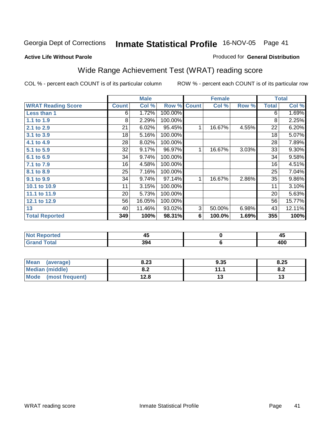#### **Active Life Without Parole**

#### Produced for **General Distribution**

# Wide Range Achievement Test (WRAT) reading score

|                           |              | <b>Male</b> |         |              | <b>Female</b> |       |              | <b>Total</b> |
|---------------------------|--------------|-------------|---------|--------------|---------------|-------|--------------|--------------|
| <b>WRAT Reading Score</b> | <b>Count</b> | Col %       | Row %   | <b>Count</b> | Col %         | Row % | <b>Total</b> | Col %        |
| Less than 1               | 6            | 1.72%       | 100.00% |              |               |       | 6            | 1.69%        |
| 1.1 to 1.9                | 8            | 2.29%       | 100.00% |              |               |       | 8            | 2.25%        |
| 2.1 to 2.9                | 21           | 6.02%       | 95.45%  | 1            | 16.67%        | 4.55% | 22           | 6.20%        |
| 3.1 to 3.9                | 18           | 5.16%       | 100.00% |              |               |       | 18           | 5.07%        |
| 4.1 to 4.9                | 28           | 8.02%       | 100.00% |              |               |       | 28           | 7.89%        |
| 5.1 to 5.9                | 32           | 9.17%       | 96.97%  | 1            | 16.67%        | 3.03% | 33           | $9.30\%$     |
| 6.1 to 6.9                | 34           | 9.74%       | 100.00% |              |               |       | 34           | 9.58%        |
| 7.1 to 7.9                | 16           | 4.58%       | 100.00% |              |               |       | 16           | 4.51%        |
| 8.1 to 8.9                | 25           | 7.16%       | 100.00% |              |               |       | 25           | 7.04%        |
| 9.1 to 9.9                | 34           | 9.74%       | 97.14%  | $\mathbf 1$  | 16.67%        | 2.86% | 35           | 9.86%        |
| 10.1 to 10.9              | 11           | 3.15%       | 100.00% |              |               |       | 11           | 3.10%        |
| 11.1 to 11.9              | 20           | 5.73%       | 100.00% |              |               |       | 20           | 5.63%        |
| 12.1 to 12.9              | 56           | 16.05%      | 100.00% |              |               |       | 56           | 15.77%       |
| 13                        | 40           | 11.46%      | 93.02%  | 3            | 50.00%        | 6.98% | 43           | 12.11%       |
| <b>Total Reported</b>     | 349          | 100%        | 98.31%  | 6            | 100.0%        | 1.69% | 355          | 100%         |
|                           |              |             |         |              |               |       |              |              |
|                           |              |             |         |              |               |       |              |              |

| <b>NO</b><br>rtea | . .<br>43 | $\sim$ $\sim$<br>≁∾ |
|-------------------|-----------|---------------------|
| ---               | 394       | 10C<br>᠇৩৫          |
|                   |           |                     |

| Mean<br>(average)       | 8.23       | 9.35      | 8.25       |
|-------------------------|------------|-----------|------------|
| <b>Median (middle)</b>  | י ס<br>o.z | 11.1<br>. | о о<br>o.z |
| Mode<br>(most frequent) | 12.8       | 17        | ט ו        |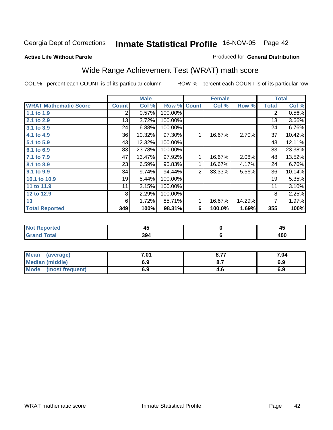#### **Active Life Without Parole**

#### Produced for **General Distribution**

# Wide Range Achievement Test (WRAT) math score

|                              |              | <b>Male</b> |         |                | <b>Female</b> |        |              | <b>Total</b> |
|------------------------------|--------------|-------------|---------|----------------|---------------|--------|--------------|--------------|
| <b>WRAT Mathematic Score</b> | <b>Count</b> | Col %       | Row %   | <b>Count</b>   | Col %         | Row %  | <b>Total</b> | Col %        |
| 1.1 to 1.9                   | 2            | 0.57%       | 100.00% |                |               |        | 2            | 0.56%        |
| 2.1 to 2.9                   | 13           | 3.72%       | 100.00% |                |               |        | 13           | 3.66%        |
| 3.1 to 3.9                   | 24           | 6.88%       | 100.00% |                |               |        | 24           | 6.76%        |
| 4.1 to 4.9                   | 36           | 10.32%      | 97.30%  |                | 16.67%        | 2.70%  | 37           | 10.42%       |
| 5.1 to 5.9                   | 43           | 12.32%      | 100.00% |                |               |        | 43           | 12.11%       |
| 6.1 to 6.9                   | 83           | 23.78%      | 100.00% |                |               |        | 83           | 23.38%       |
| 7.1 to 7.9                   | 47           | 13.47%      | 97.92%  |                | 16.67%        | 2.08%  | 48           | 13.52%       |
| 8.1 to 8.9                   | 23           | 6.59%       | 95.83%  | 1              | 16.67%        | 4.17%  | 24           | 6.76%        |
| 9.1 to 9.9                   | 34           | 9.74%       | 94.44%  | $\overline{2}$ | 33.33%        | 5.56%  | 36           | 10.14%       |
| 10.1 to 10.9                 | 19           | 5.44%       | 100.00% |                |               |        | 19           | 5.35%        |
| 11 to 11.9                   | 11           | 3.15%       | 100.00% |                |               |        | 11           | 3.10%        |
| 12 to 12.9                   | 8            | 2.29%       | 100.00% |                |               |        | 8            | 2.25%        |
| 13                           | 6            | 1.72%       | 85.71%  |                | 16.67%        | 14.29% | 7            | 1.97%        |
| <b>Total Reported</b>        | 349          | 100%        | 98.31%  | 6              | 100.0%        | 1.69%  | 355          | 100%         |

|               | ∼   | ≖⊷       |
|---------------|-----|----------|
| $- - - - - -$ | 394 | ,,,<br>. |

| Mean<br>(average)       | 7.01 | 0.77<br>O.1. | 7.04 |
|-------------------------|------|--------------|------|
| <b>Median (middle)</b>  | 6.9  |              | 6.9  |
| Mode<br>(most frequent) | 6.9  | 4.O          | 6.9  |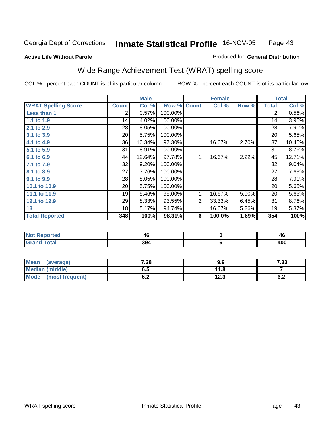#### **Active Life Without Parole**

#### Produced for **General Distribution**

# Wide Range Achievement Test (WRAT) spelling score

|                            |                | <b>Male</b> |                    |   | <b>Female</b> |       |              | <b>Total</b> |
|----------------------------|----------------|-------------|--------------------|---|---------------|-------|--------------|--------------|
| <b>WRAT Spelling Score</b> | <b>Count</b>   | Col %       | <b>Row % Count</b> |   | Col %         | Row % | <b>Total</b> | Col %        |
| Less than 1                | $\overline{2}$ | 0.57%       | 100.00%            |   |               |       | 2            | 0.56%        |
| 1.1 to 1.9                 | 14             | 4.02%       | 100.00%            |   |               |       | 14           | 3.95%        |
| 2.1 to 2.9                 | 28             | 8.05%       | 100.00%            |   |               |       | 28           | 7.91%        |
| 3.1 to 3.9                 | 20             | 5.75%       | 100.00%            |   |               |       | 20           | 5.65%        |
| 4.1 to 4.9                 | 36             | 10.34%      | 97.30%             | 1 | 16.67%        | 2.70% | 37           | 10.45%       |
| 5.1 to 5.9                 | 31             | 8.91%       | 100.00%            |   |               |       | 31           | 8.76%        |
| 6.1 to 6.9                 | 44             | 12.64%      | 97.78%             | 1 | 16.67%        | 2.22% | 45           | 12.71%       |
| 7.1 to 7.9                 | 32             | 9.20%       | 100.00%            |   |               |       | 32           | 9.04%        |
| 8.1 to 8.9                 | 27             | 7.76%       | 100.00%            |   |               |       | 27           | 7.63%        |
| 9.1 to 9.9                 | 28             | 8.05%       | 100.00%            |   |               |       | 28           | 7.91%        |
| 10.1 to 10.9               | 20             | 5.75%       | 100.00%            |   |               |       | 20           | 5.65%        |
| 11.1 to 11.9               | 19             | 5.46%       | 95.00%             | 1 | 16.67%        | 5.00% | 20           | 5.65%        |
| 12.1 to 12.9               | 29             | 8.33%       | 93.55%             | 2 | 33.33%        | 6.45% | 31           | 8.76%        |
| 13                         | 18             | 5.17%       | 94.74%             | 1 | 16.67%        | 5.26% | 19           | 5.37%        |
| <b>Total Reported</b>      | 348            | 100%        | 98.31%             | 6 | 100.0%        | 1.69% | 354          | 100%         |

| <b>Not Reported</b> | 40  | 40         |
|---------------------|-----|------------|
| <b>Grand Total</b>  | 394 | uur<br>4vv |

| Mean<br>(average)      | 7.28       | 9.9  | 7.33       |
|------------------------|------------|------|------------|
| <b>Median (middle)</b> | 6.5        | 11.8 |            |
| Mode (most frequent)   | r n<br>ο.Ζ | 12.3 | c n<br>0.Z |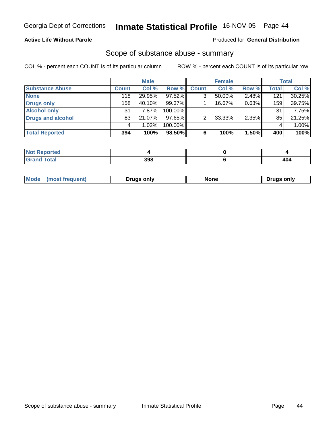### **Active Life Without Parole**

#### Produced for **General Distribution**

### Scope of substance abuse - summary

|                          |              | <b>Male</b> |         |              | <b>Female</b> |       |              | <b>Total</b> |
|--------------------------|--------------|-------------|---------|--------------|---------------|-------|--------------|--------------|
| <b>Substance Abuse</b>   | <b>Count</b> | Col %       | Row %   | <b>Count</b> | Col %         | Row % | <b>Total</b> | Col %        |
| <b>None</b>              | 118          | 29.95%      | 97.52%  |              | $50.00\%$     | 2.48% | 121          | 30.25%       |
| <b>Drugs only</b>        | 158          | 40.10%      | 99.37%  |              | 16.67%        | 0.63% | 159          | 39.75%       |
| <b>Alcohol only</b>      | 31           | 7.87%       | 100.00% |              |               |       | 31           | 7.75%        |
| <b>Drugs and alcohol</b> | 83           | 21.07%      | 97.65%  | ⌒            | 33.33%        | 2.35% | 85           | 21.25%       |
|                          |              | 1.02%       | 100.00% |              |               |       | 4            | 1.00%        |
| <b>Total Reported</b>    | 394          | 100%        | 98.50%  |              | 100%          | 1.50% | 400          | 100%         |

| eported:    |     |     |
|-------------|-----|-----|
| <b>otal</b> | 398 | 404 |

| Mode | .<br>''' | Druas onlv | None<br>____ | only<br>Jruas |
|------|----------|------------|--------------|---------------|
|      |          |            |              |               |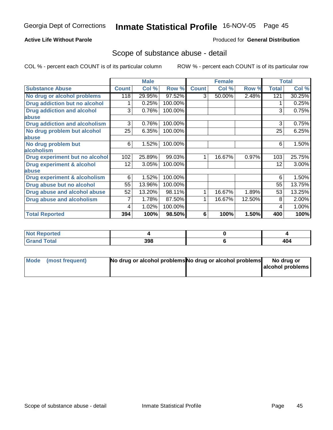#### **Active Life Without Parole**

#### Produced for **General Distribution**

### Scope of substance abuse - detail

|                                      |              | <b>Male</b> |         |              | <b>Female</b> |        |              | <b>Total</b> |
|--------------------------------------|--------------|-------------|---------|--------------|---------------|--------|--------------|--------------|
| <b>Substance Abuse</b>               | <b>Count</b> | Col %       | Row %   | <b>Count</b> | Col %         | Row %  | <b>Total</b> | Col %        |
| No drug or alcohol problems          | 118          | 29.95%      | 97.52%  | 3            | 50.00%        | 2.48%  | 121          | 30.25%       |
| Drug addiction but no alcohol        |              | 0.25%       | 100.00% |              |               |        |              | 0.25%        |
| <b>Drug addiction and alcohol</b>    | 3            | 0.76%       | 100.00% |              |               |        | 3            | 0.75%        |
| abuse                                |              |             |         |              |               |        |              |              |
| <b>Drug addiction and alcoholism</b> | 3            | 0.76%       | 100.00% |              |               |        | 3            | 0.75%        |
| No drug problem but alcohol          | 25           | 6.35%       | 100.00% |              |               |        | 25           | 6.25%        |
| <b>labuse</b>                        |              |             |         |              |               |        |              |              |
| No drug problem but                  | 6            | 1.52%       | 100.00% |              |               |        | 6            | 1.50%        |
| alcoholism                           |              |             |         |              |               |        |              |              |
| Drug experiment but no alcohol       | 102          | 25.89%      | 99.03%  | 1.           | 16.67%        | 0.97%  | 103          | 25.75%       |
| <b>Drug experiment &amp; alcohol</b> | 12           | 3.05%       | 100.00% |              |               |        | 12           | 3.00%        |
| abuse                                |              |             |         |              |               |        |              |              |
| Drug experiment & alcoholism         | 6            | 1.52%       | 100.00% |              |               |        | 6            | 1.50%        |
| Drug abuse but no alcohol            | 55           | 13.96%      | 100.00% |              |               |        | 55           | 13.75%       |
| Drug abuse and alcohol abuse         | 52           | 13.20%      | 98.11%  | 1            | 16.67%        | 1.89%  | 53           | 13.25%       |
| <b>Drug abuse and alcoholism</b>     |              | 1.78%       | 87.50%  |              | 16.67%        | 12.50% | 8            | 2.00%        |
|                                      | 4            | 1.02%       | 100.00% |              |               |        | 4            | 1.00%        |
| <b>Total Reported</b>                | 394          | 100%        | 98.50%  | 6            | 100%          | 1.50%  | 400          | 100%         |

| <b>Not Reported</b>         |     |     |
|-----------------------------|-----|-----|
| <b>Total</b><br><b>Grar</b> | 398 | 404 |

| Mode (most frequent) | No drug or alcohol problems No drug or alcohol problems | No drug or       |
|----------------------|---------------------------------------------------------|------------------|
|                      |                                                         | alcohol problems |
|                      |                                                         |                  |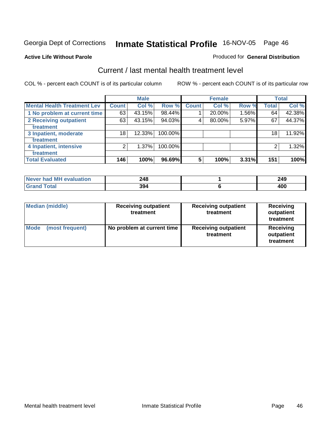#### **Active Life Without Parole**

### Produced for **General Distribution**

### Current / last mental health treatment level

|                                    |              | <b>Male</b> |           |                | <b>Female</b> |       |              | <b>Total</b> |
|------------------------------------|--------------|-------------|-----------|----------------|---------------|-------|--------------|--------------|
| <b>Mental Health Treatment Lev</b> | <b>Count</b> | Col %       | Row %     | Count          | Col %         | Row % | <b>Total</b> | Col %        |
| 1 No problem at current time       | 63           | 43.15%      | 98.44%    |                | 20.00%        | 1.56% | 64           | 42.38%       |
| 2 Receiving outpatient             | 63           | 43.15%      | $94.03\%$ | 4              | 80.00%        | 5.97% | 67           | 44.37%       |
| treatment                          |              |             |           |                |               |       |              |              |
| 3 Inpatient, moderate              | 18           | 12.33%      | 100.00%   |                |               |       | 18           | 11.92%       |
| treatment                          |              |             |           |                |               |       |              |              |
| 4 Inpatient, intensive             | 2            | 1.37%       | 100.00%   |                |               |       | 2            | 1.32%        |
| treatment                          |              |             |           |                |               |       |              |              |
| <b>Total Evaluated</b>             | 146          | 100%        | 96.69%    | $5\phantom{1}$ | 100%          | 3.31% | 151          | 100%         |

| Never had MH evaluation | 248 | 249 |
|-------------------------|-----|-----|
| Total<br><b>Gran</b>    | 394 | 400 |

| <b>Median (middle)</b>         | <b>Receiving outpatient</b><br>treatment | <b>Receiving outpatient</b><br>treatment | Receiving<br>outpatient<br>treatment |
|--------------------------------|------------------------------------------|------------------------------------------|--------------------------------------|
| <b>Mode</b><br>(most frequent) | No problem at current time               | <b>Receiving outpatient</b><br>treatment | Receiving<br>outpatient<br>treatment |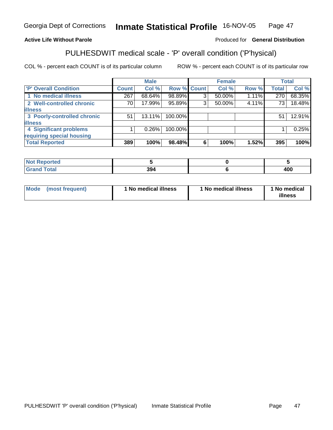### **Active Life Without Parole**

#### Produced for **General Distribution**

# PULHESDWIT medical scale - 'P' overall condition ('P'hysical)

|                             |              | <b>Male</b> |             |   | <b>Female</b> |       |                 | <b>Total</b> |
|-----------------------------|--------------|-------------|-------------|---|---------------|-------|-----------------|--------------|
| 'P' Overall Condition       | <b>Count</b> | Col %       | Row % Count |   | Col %         | Row % | <b>Total</b>    | Col %        |
| 1 No medical illness        | 267          | 68.64%      | 98.89%      | 3 | $50.00\%$     | 1.11% | 270             | 68.35%       |
| 2 Well-controlled chronic   | 70           | 17.99%      | 95.89%      | 3 | 50.00%        | 4.11% | 73 <sub>1</sub> | 18.48%       |
| <b>illness</b>              |              |             |             |   |               |       |                 |              |
| 3 Poorly-controlled chronic | 51           | $13.11\%$   | 100.00%     |   |               |       | 51              | 12.91%       |
| <b>illness</b>              |              |             |             |   |               |       |                 |              |
| 4 Significant problems      |              | $0.26\%$    | 100.00%     |   |               |       |                 | 0.25%        |
| requiring special housing   |              |             |             |   |               |       |                 |              |
| <b>Total Reported</b>       | 389          | 100%        | 98.48%      | 6 | 100%          | 1.52% | 395             | 100%         |

| <b>Reported</b><br> |     |     |
|---------------------|-----|-----|
| ---                 | 394 | 400 |

| Mode | (most frequent) | 1 No medical illness | <sup>1</sup> No medical illness | 1 No medical<br>illness |
|------|-----------------|----------------------|---------------------------------|-------------------------|
|------|-----------------|----------------------|---------------------------------|-------------------------|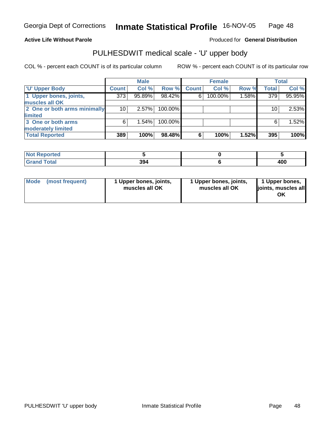#### **Active Life Without Parole**

Produced for **General Distribution**

### PULHESDWIT medical scale - 'U' upper body

|                              |              | <b>Male</b> |         |              | <b>Female</b> |       |              | <b>Total</b> |
|------------------------------|--------------|-------------|---------|--------------|---------------|-------|--------------|--------------|
| <b>U' Upper Body</b>         | <b>Count</b> | Col %       | Row %   | <b>Count</b> | Col %         | Row % | <b>Total</b> | Col %        |
| 1 Upper bones, joints,       | 373          | 95.89%      | 98.42%  | 6            | 100.00%       | 1.58% | 379          | 95.95%       |
| muscles all OK               |              |             |         |              |               |       |              |              |
| 2 One or both arms minimally | 10           | $2.57\%$    | 100.00% |              |               |       | 10           | 2.53%        |
| limited                      |              |             |         |              |               |       |              |              |
| 3 One or both arms           | 6            | 1.54%       | 100.00% |              |               |       | 6            | 1.52%        |
| moderately limited           |              |             |         |              |               |       |              |              |
| <b>Total Reported</b>        | 389          | 100%        | 98.48%  | 6            | 100%          | 1.52% | 395          | 100%         |

| للمراجع بالنوار<br><b>Reported</b><br>NOT.<br>. |     |       |
|-------------------------------------------------|-----|-------|
|                                                 | 394 | 1 N C |

| l Mode I | (most frequent) | 1 Upper bones, joints,<br>muscles all OK | 1 Upper bones, joints,<br>muscles all OK | 1 Upper bones,<br>joints, muscles all<br>ΟK |
|----------|-----------------|------------------------------------------|------------------------------------------|---------------------------------------------|
|----------|-----------------|------------------------------------------|------------------------------------------|---------------------------------------------|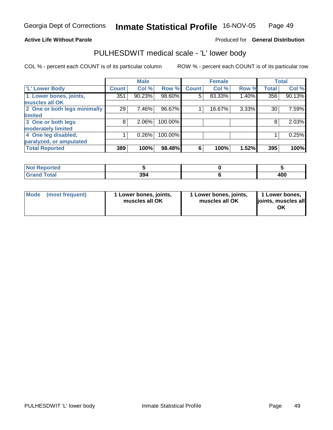#### **Active Life Without Parole**

#### Produced for **General Distribution**

### PULHESDWIT medical scale - 'L' lower body

|                              |              | <b>Male</b> |         |              | <b>Female</b> |       |              | <b>Total</b> |
|------------------------------|--------------|-------------|---------|--------------|---------------|-------|--------------|--------------|
| 'L' Lower Body               | <b>Count</b> | Col %       | Row %   | <b>Count</b> | Col %         | Row % | <b>Total</b> | Col %        |
| 1 Lower bones, joints,       | 351          | 90.23%      | 98.60%  | 5            | 83.33%        | 1.40% | 356          | 90.13%       |
| muscles all OK               |              |             |         |              |               |       |              |              |
| 2 One or both legs minimally | 29           | 7.46%       | 96.67%  |              | 16.67%        | 3.33% | 30           | 7.59%        |
| limited                      |              |             |         |              |               |       |              |              |
| 3 One or both legs           | 8            | 2.06%       | 100.00% |              |               |       | 8            | 2.03%        |
| moderately limited           |              |             |         |              |               |       |              |              |
| 4 One leg disabled,          |              | 0.26%       | 100.00% |              |               |       |              | 0.25%        |
| paralyzed, or amputated      |              |             |         |              |               |       |              |              |
| <b>Total Reported</b>        | 389          | 100%        | 98.48%  | 6            | 100%          | 1.52% | 395          | 100%         |

| <b>Not Reported</b> |     |     |
|---------------------|-----|-----|
| <b>Grand Total</b>  | 394 | 400 |

| l Mode | (most frequent) | 1 Lower bones, joints,<br>muscles all OK | 1 Lower bones, joints,<br>muscles all OK | 1 Lower bones,<br>joints, muscles all<br>ΟK |
|--------|-----------------|------------------------------------------|------------------------------------------|---------------------------------------------|
|--------|-----------------|------------------------------------------|------------------------------------------|---------------------------------------------|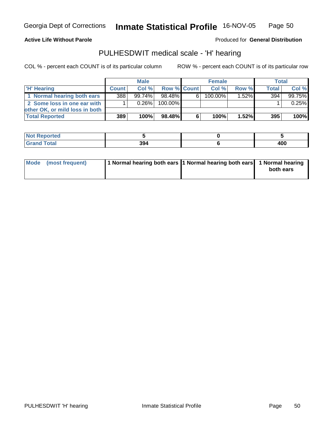**Active Life Without Parole** 

Produced for **General Distribution**

### PULHESDWIT medical scale - 'H' hearing

|                                |              | <b>Male</b> |             |   | <b>Female</b> |          | <b>Total</b> |        |
|--------------------------------|--------------|-------------|-------------|---|---------------|----------|--------------|--------|
| 'H' Hearing                    | <b>Count</b> | Col%        | Row % Count |   | Col%          | Row %    | <b>Total</b> | Col %  |
| 1 Normal hearing both ears     | 388          | $99.74\%$   | 98.48%      | 6 | 100.00%       | $1.52\%$ | 394          | 99.75% |
| 2 Some loss in one ear with    |              | $0.26\%$    | 100.00%     |   |               |          |              | 0.25%  |
| other OK, or mild loss in both |              |             |             |   |               |          |              |        |
| <b>Total Reported</b>          | 389          | 100%        | 98.48%      | 6 | 100%          | $1.52\%$ | 395          | 100%   |

| ----<br>onteol<br>N   |                     |           |
|-----------------------|---------------------|-----------|
| <b>otal</b><br>______ | 201<br>-994<br>$ -$ | ה ה<br>טע |

| Mode (most frequent) | 1 Normal hearing both ears 1 Normal hearing both ears 1 Normal hearing |           |
|----------------------|------------------------------------------------------------------------|-----------|
|                      |                                                                        | both ears |
|                      |                                                                        |           |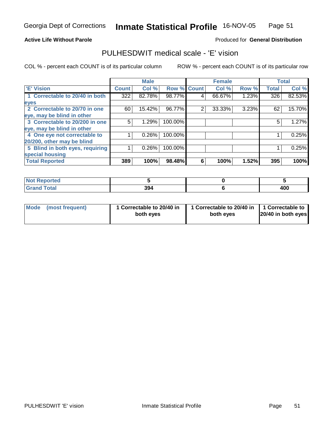#### **Active Life Without Parole**

#### Produced for **General Distribution**

### PULHESDWIT medical scale - 'E' vision

|                                 |              | <b>Male</b> |             |   | <b>Female</b> |       |              | <b>Total</b> |
|---------------------------------|--------------|-------------|-------------|---|---------------|-------|--------------|--------------|
| <b>E' Vision</b>                | <b>Count</b> | Col %       | Row % Count |   | Col %         | Row % | <b>Total</b> | Col %        |
| 1 Correctable to 20/40 in both  | 322          | 82.78%      | 98.77%      | 4 | 66.67%        | 1.23% | 326          | 82.53%       |
| eyes                            |              |             |             |   |               |       |              |              |
| 2 Correctable to 20/70 in one   | 60           | 15.42%      | 96.77%      | 2 | 33.33%        | 3.23% | 62           | 15.70%       |
| eye, may be blind in other      |              |             |             |   |               |       |              |              |
| 3 Correctable to 20/200 in one  | 5            | 1.29%       | 100.00%     |   |               |       | 5            | 1.27%        |
| eye, may be blind in other      |              |             |             |   |               |       |              |              |
| 4 One eye not correctable to    |              | 0.26%       | 100.00%     |   |               |       |              | 0.25%        |
| 20/200, other may be blind      |              |             |             |   |               |       |              |              |
| 5 Blind in both eyes, requiring |              | $0.26\%$    | 100.00%     |   |               |       |              | 0.25%        |
| special housing                 |              |             |             |   |               |       |              |              |
| <b>Total Reported</b>           | 389          | 100%        | 98.48%      | 6 | 100%          | 1.52% | 395          | 100%         |

| ported                                    |     |            |
|-------------------------------------------|-----|------------|
| $F = 4 \times 7$<br><b>Utal</b><br>______ | 394 | 10C<br>4vu |

| Mode (most frequent) | 1 Correctable to 20/40 in<br>both eyes | 1 Correctable to 20/40 in   1 Correctable to<br>both eves | 20/40 in both eyes |
|----------------------|----------------------------------------|-----------------------------------------------------------|--------------------|
|----------------------|----------------------------------------|-----------------------------------------------------------|--------------------|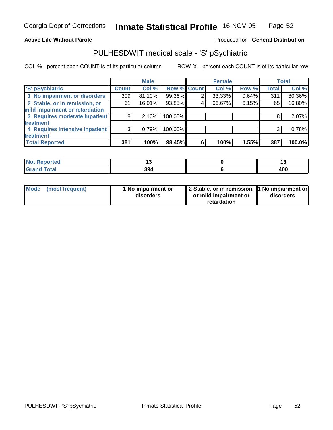#### **Active Life Without Parole**

#### Produced for **General Distribution**

### PULHESDWIT medical scale - 'S' pSychiatric

|                                |              | <b>Male</b> |                    |   | <b>Female</b> |       |              | <b>Total</b> |
|--------------------------------|--------------|-------------|--------------------|---|---------------|-------|--------------|--------------|
| 'S' pSychiatric                | <b>Count</b> | Col %       | <b>Row % Count</b> |   | Col %         | Row % | <b>Total</b> | Col %        |
| 1 No impairment or disorders   | 309          | $81.10\%$   | 99.36%             |   | 33.33%        | 0.64% | 311          | 80.36%       |
| 2 Stable, or in remission, or  | 61           | 16.01%      | 93.85%             | 4 | 66.67%        | 6.15% | 65           | 16.80%       |
| mild impairment or retardation |              |             |                    |   |               |       |              |              |
| 3 Requires moderate inpatient  | 8            | $2.10\%$    | 100.00%            |   |               |       | 8            | 2.07%        |
| treatment                      |              |             |                    |   |               |       |              |              |
| 4 Requires intensive inpatient | 3            | 0.79%       | 100.00%            |   |               |       | 3            | 0.78%        |
| treatment                      |              |             |                    |   |               |       |              |              |
| <b>Total Reported</b>          | 381          | 100%        | 98.45%             | 6 | 100%          | 1.55% | 387          | 100.0%       |

| <b>Not Reported</b> |     |     |
|---------------------|-----|-----|
| <b>Grand Total</b>  | 394 | 400 |

| Mode (most frequent) | 1 No impairment or<br>disorders | 2 Stable, or in remission, 1 No impairment or<br>or mild impairment or | disorders |
|----------------------|---------------------------------|------------------------------------------------------------------------|-----------|
|                      |                                 | retardation                                                            |           |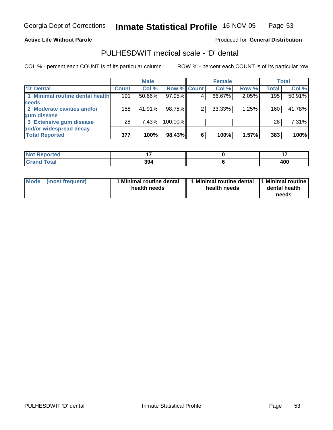### **Active Life Without Parole**

### Produced for **General Distribution**

### PULHESDWIT medical scale - 'D' dental

|                                 |              | <b>Male</b> |             |   | <b>Female</b> |       |              | <b>Total</b> |
|---------------------------------|--------------|-------------|-------------|---|---------------|-------|--------------|--------------|
| <b>D'</b> Dental                | <b>Count</b> | Col %       | Row % Count |   | Col%          | Row % | <b>Total</b> | Col %        |
| 1 Minimal routine dental health | 191          | 50.66%      | 97.95%      |   | 66.67%        | 2.05% | 195          | 50.91%       |
| <b>needs</b>                    |              |             |             |   |               |       |              |              |
| 2 Moderate cavities and/or      | 158          | 41.91%      | 98.75%      |   | 33.33%        | 1.25% | 160          | 41.78%       |
| gum disease                     |              |             |             |   |               |       |              |              |
| 3 Extensive gum disease         | 28           | 7.43%       | 100.00%     |   |               |       | 28           | 7.31%        |
| and/or widespread decay         |              |             |             |   |               |       |              |              |
| <b>Total Reported</b>           | 377          | 100%        | 98.43%      | 6 | 100%          | 1.57% | 383          | 100%         |

| NA<br>vreo      | .   | $ -$       |
|-----------------|-----|------------|
| Cota'<br>______ | 394 | חחו<br>400 |

| <b>Mode</b><br>(most frequent) | 1 Minimal routine dental<br>health needs | health needs | Minimal routine dental 1 Minimal routine<br>dental health<br>needs |
|--------------------------------|------------------------------------------|--------------|--------------------------------------------------------------------|
|--------------------------------|------------------------------------------|--------------|--------------------------------------------------------------------|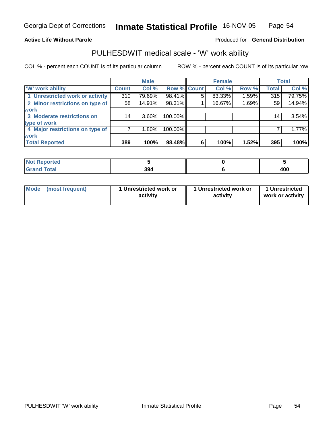#### **Active Life Without Parole**

#### Produced for **General Distribution**

### PULHESDWIT medical scale - 'W' work ability

|                                 |              | <b>Male</b> |                    |   | <b>Female</b> |       |              | Total  |
|---------------------------------|--------------|-------------|--------------------|---|---------------|-------|--------------|--------|
| W' work ability                 | <b>Count</b> | Col %       | <b>Row % Count</b> |   | Col %         | Row % | <b>Total</b> | Col %  |
| 1 Unrestricted work or activity | 310          | 79.69%      | 98.41%             | 5 | 83.33%        | 1.59% | 315          | 79.75% |
| 2 Minor restrictions on type of | 58           | $14.91\%$   | 98.31%             |   | 16.67%        | 1.69% | 59           | 14.94% |
| <b>work</b>                     |              |             |                    |   |               |       |              |        |
| 3 Moderate restrictions on      | 14           | $3.60\%$    | 100.00%            |   |               |       | 14           | 3.54%  |
| type of work                    |              |             |                    |   |               |       |              |        |
| 4 Major restrictions on type of |              | $1.80\%$    | 100.00%            |   |               |       |              | 1.77%  |
| <b>work</b>                     |              |             |                    |   |               |       |              |        |
| <b>Total Reported</b>           | 389          | 100%        | 98.48%             | 6 | 100%          | 1.52% | 395          | 100%   |

| <b>roorted</b>                     |     |            |
|------------------------------------|-----|------------|
| d Total<br>Granc<br>$\mathbf{v}$ . | 394 | 008<br>400 |

| Mode | (most frequent) | 1 Unrestricted work or<br>activity | 1 Unrestricted work or<br>activity | 1 Unrestricted<br>work or activity |
|------|-----------------|------------------------------------|------------------------------------|------------------------------------|
|------|-----------------|------------------------------------|------------------------------------|------------------------------------|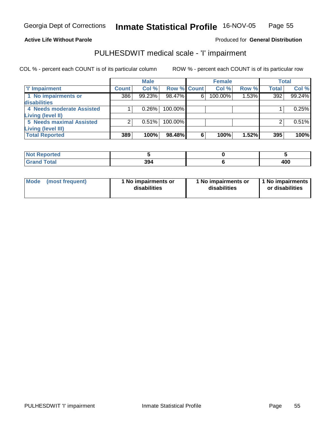#### **Active Life Without Parole**

### Produced for **General Distribution**

### PULHESDWIT medical scale - 'I' impairment

|                                 |              | <b>Male</b> |             |   | <b>Female</b> |       |              | <b>Total</b> |
|---------------------------------|--------------|-------------|-------------|---|---------------|-------|--------------|--------------|
| I'' Impairment                  | <b>Count</b> | Col %       | Row % Count |   | Col %         | Row % | <b>Total</b> | Col %        |
| 1 No impairments or             | 386          | 99.23%      | 98.47%      | 6 | 100.00%       | 1.53% | 392          | 99.24%       |
| disabilities                    |              |             |             |   |               |       |              |              |
| 4 Needs moderate Assisted       |              | 0.26%       | $100.00\%$  |   |               |       |              | 0.25%        |
| <b>Living (level II)</b>        |              |             |             |   |               |       |              |              |
| <b>5 Needs maximal Assisted</b> |              | 0.51%       | 100.00%     |   |               |       |              | 0.51%        |
| <b>Living (level III)</b>       |              |             |             |   |               |       |              |              |
| <b>Total Reported</b>           | 389          | 100%        | 98.48%      | 6 | 100%          | 1.52% | 395          | 100%l        |

| <b>eported</b><br><b>NOT</b> |     |     |
|------------------------------|-----|-----|
| <b>fotal</b><br>_____        | 394 | 40C |

| Mode            | l No impairments or | 1 No impairments or | 1 1 No impairments |
|-----------------|---------------------|---------------------|--------------------|
| (most frequent) | disabilities        | disabilities        | or disabilities    |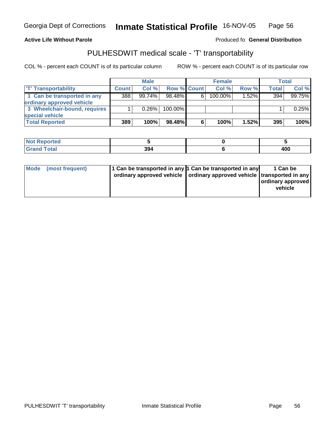Georgia Dept of Corrections

**Inmate Statistical Profile** 16-NOV-05 Page Page 56

**Active Life Without Parole Produced fo Seneral Distribution** 

### PULHESDWIT medical scale - 'T' transportability

|                              |              | <b>Male</b> |                    |   | <b>Female</b> |          |       | Total  |
|------------------------------|--------------|-------------|--------------------|---|---------------|----------|-------|--------|
| <b>T' Transportability</b>   | <b>Count</b> | Col %       | <b>Row % Count</b> |   | Col %         | Row %    | Total | Col %  |
| 1 Can be transported in any  | 388          | 99.74%      | $98.48\%$          | 6 | $100.00\%$    | $1.52\%$ | 394   | 99.75% |
| ordinary approved vehicle    |              |             |                    |   |               |          |       |        |
| 3 Wheelchair-bound, requires |              | 0.26%       | $100.00\%$         |   |               |          |       | 0.25%  |
| special vehicle              |              |             |                    |   |               |          |       |        |
| <b>Total Reported</b>        | 389          | 100%        | 98.48%             | 6 | 100%          | $1.52\%$ | 395   | 100%   |

| N <sub>of</sub><br>ported |     |     |
|---------------------------|-----|-----|
| <b>Total</b><br>'Grand    | 394 | 400 |

| ordinary approved vehicle   ordinary approved vehicle   transported in any  <br>  ordinary approved  <br>vehicle |
|------------------------------------------------------------------------------------------------------------------|
|------------------------------------------------------------------------------------------------------------------|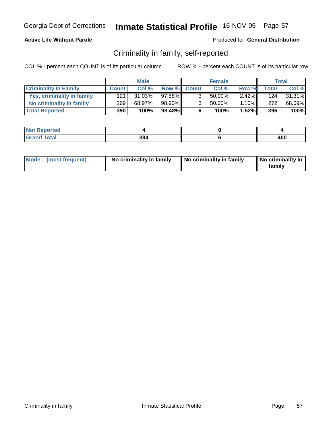### **Active Life Without Parole**

#### Produced for **General Distribution**

### Criminality in family, self-reported

|                              |              | <b>Male</b> |              |                | <b>Female</b> |       |              | Total  |
|------------------------------|--------------|-------------|--------------|----------------|---------------|-------|--------------|--------|
| <b>Criminality In Family</b> | <b>Count</b> | Col %       | <b>Row %</b> | <b>Count</b>   | Col %         | Row % | <b>Total</b> | Col %  |
| Yes, criminality in family   | 121          | 31.03%      | 97.58%       | 3 <sub>1</sub> | 50.00%        | 2.42% | 124          | 31.31% |
| No criminality in family     | 269          | 68.97%      | 98.90%       | 3 <sub>1</sub> | $50.00\%$     | 1.10% | 272          | 68.69% |
| <b>Total Reported</b>        | 390          | 100%        | 98.48%       | 6              | 100%          | 1.52% | 396          | 100%   |

| rted                                               |            |            |
|----------------------------------------------------|------------|------------|
| المفما<br><b>TULAI</b><br>$\sim$ . $\sim$ . $\sim$ | 201<br>ືອອ | ה ה<br>4vv |

| Mode (most frequent) | No criminality in family | No criminality in family | No criminality in<br>family |
|----------------------|--------------------------|--------------------------|-----------------------------|
|----------------------|--------------------------|--------------------------|-----------------------------|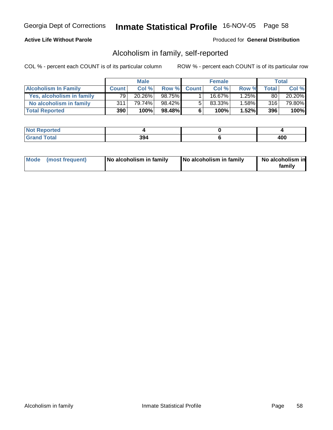### **Active Life Without Parole**

#### Produced for **General Distribution**

### Alcoholism in family, self-reported

|                             |              | <b>Male</b> |        |             | <b>Female</b> |       |              | Total  |
|-----------------------------|--------------|-------------|--------|-------------|---------------|-------|--------------|--------|
| <b>Alcoholism In Family</b> | <b>Count</b> | Col %       |        | Row % Count | Col %         | Row % | <b>Total</b> | Col %  |
| Yes, alcoholism in family   | 79           | 20.26%      | 98.75% |             | 16.67%」       | 1.25% | 80           | 20.20% |
| No alcoholism in family     | 311          | 79.74%      | 98.42% | 5           | 83.33%        | 1.58% | 316          | 79.80% |
| <b>Total Reported</b>       | 390          | 100%        | 98.48% | 6           | 100%          | 1.52% | 396          | 100%   |

| <b>rted</b>                  |            |                     |
|------------------------------|------------|---------------------|
| int<br><b>TULAI</b><br>----- | 9۵۸<br>יככ | Anr<br>$\mathbf{r}$ |

| Mode (most frequent)<br>No alcoholism in family | <b>No alcoholism in family</b> | No alcoholism in<br>familv |
|-------------------------------------------------|--------------------------------|----------------------------|
|-------------------------------------------------|--------------------------------|----------------------------|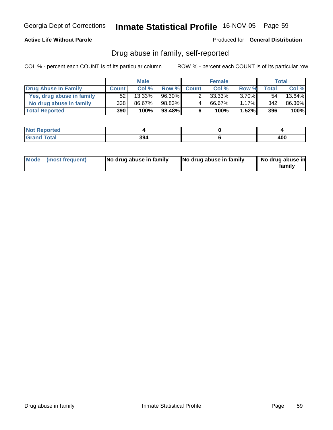### **Active Life Without Parole**

Produced for **General Distribution**

### Drug abuse in family, self-reported

|                           |              | <b>Male</b> |        |              | <b>Female</b> |          |              | Total  |
|---------------------------|--------------|-------------|--------|--------------|---------------|----------|--------------|--------|
| Drug Abuse In Family      | <b>Count</b> | Col %       | Row %  | <b>Count</b> | Col %         | Row %    | <b>Total</b> | Col %  |
| Yes, drug abuse in family | 52           | 13.33%      | 96.30% |              | 33.33%        | $3.70\%$ | 54           | 13.64% |
| No drug abuse in family   | 338          | 86.67%      | 98.83% | 4            | 66.67%        | 1.17%    | 342          | 86.36% |
| <b>Total Reported</b>     | 390          | 100%        | 98.48% | 6            | 100%          | 1.52%    | 396          | 100%   |

| <b>rted</b>                  |            |                     |
|------------------------------|------------|---------------------|
| int<br><b>TULAI</b><br>----- | 9۵۸<br>יככ | Anr<br>$\mathbf{r}$ |

| Mode (most frequent) |  | No drug abuse in family | No drug abuse in family | No drug abuse in<br>familv |
|----------------------|--|-------------------------|-------------------------|----------------------------|
|----------------------|--|-------------------------|-------------------------|----------------------------|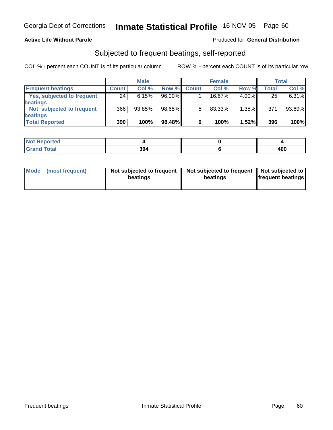### **Active Life Without Parole**

#### Produced for **General Distribution**

### Subjected to frequent beatings, self-reported

|                            |              | <b>Male</b> |        |              | <b>Female</b> |          |              | <b>Total</b> |
|----------------------------|--------------|-------------|--------|--------------|---------------|----------|--------------|--------------|
| <b>Frequent beatings</b>   | <b>Count</b> | Col%        | Row %  | <b>Count</b> | Col %         | Row %    | <b>Total</b> | Col %        |
| Yes, subjected to frequent | 24           | 6.15%       | 96.00% |              | 16.67%        | $4.00\%$ | 25           | 6.31%        |
| beatings                   |              |             |        |              |               |          |              |              |
| Not subjected to frequent  | 366          | 93.85%      | 98.65% | 5            | 83.33%        | $1.35\%$ | 371          | 93.69%       |
| beatings                   |              |             |        |              |               |          |              |              |
| <b>Total Reported</b>      | 390          | 100%        | 98.48% | 6            | 100%          | 1.52%    | 396          | 100%         |

| Reported<br><b>NOT</b> |     |            |
|------------------------|-----|------------|
| <b>Total</b><br>. Grar | 394 | ה ה<br>400 |

| Mode | (most frequent) | Not subjected to frequent  <br>beatings | Not subjected to frequent   Not subjected to  <br>beatings | <b>frequent beatings</b> |
|------|-----------------|-----------------------------------------|------------------------------------------------------------|--------------------------|
|------|-----------------|-----------------------------------------|------------------------------------------------------------|--------------------------|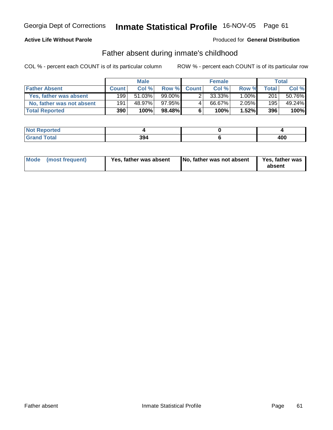### **Active Life Without Parole**

#### Produced for **General Distribution**

### Father absent during inmate's childhood

|                           |              | <b>Male</b> |           |             | <b>Female</b> |          |       | <b>Total</b> |
|---------------------------|--------------|-------------|-----------|-------------|---------------|----------|-------|--------------|
| <b>Father Absent</b>      | <b>Count</b> | Col %       |           | Row % Count | Col %         | Row %    | Total | Col %        |
| Yes, father was absent    | 1991         | $51.03\%$   | $99.00\%$ |             | 33.33%        | $1.00\%$ | 201   | 50.76%       |
| No, father was not absent | 191          | 48.97%      | 97.95%    | 4           | 66.67%        | 2.05%    | 195   | 49.24%       |
| <b>Total Reported</b>     | 390          | 100%        | 98.48%    | 6           | 100%          | 1.52%    | 396   | 100%         |

| <b>Not Reported</b> |     |            |
|---------------------|-----|------------|
| <b>Grand Total</b>  | 394 | 10C<br>40c |

| Mode (most frequent)<br>Yes, father was absent | No, father was not absent | Yes, father was<br>absent |
|------------------------------------------------|---------------------------|---------------------------|
|------------------------------------------------|---------------------------|---------------------------|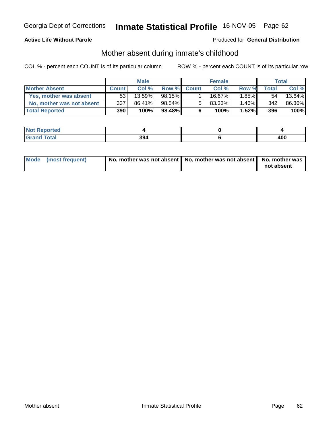### **Active Life Without Parole**

#### Produced for **General Distribution**

### Mother absent during inmate's childhood

|                           |              | <b>Male</b> |        |              | <b>Female</b> |       |                  | Total  |
|---------------------------|--------------|-------------|--------|--------------|---------------|-------|------------------|--------|
| <b>Mother Absent</b>      | <b>Count</b> | Col %       | Row %  | <b>Count</b> | Col %         | Row % | Total            | Col %  |
| Yes, mother was absent    | 53           | 13.59%      | 98.15% |              | 16.67%        | 1.85% | 54               | 13.64% |
| No, mother was not absent | 337          | 86.41%      | 98.54% | 5            | 83.33%        | 1.46% | 342 <sub>1</sub> | 86.36% |
| <b>Total Reported</b>     | 390          | 100%        | 98.48% | 6            | 100%          | 1.52% | 396              | 100%   |

| <b>Not Reported</b> |     |            |
|---------------------|-----|------------|
| <b>Total</b>        | 394 | 100<br>4vv |

| Mode (most frequent) | No, mother was not absent   No, mother was not absent   No, mother was |            |
|----------------------|------------------------------------------------------------------------|------------|
|                      |                                                                        | not absent |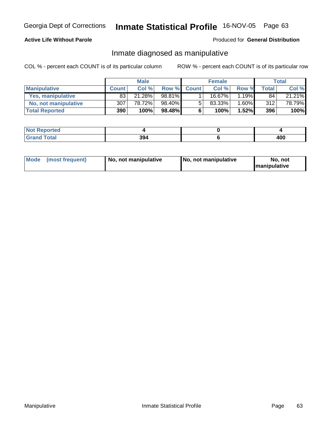### **Active Life Without Parole**

#### Produced for **General Distribution**

### Inmate diagnosed as manipulative

|                          |              | <b>Male</b> |        |              | <b>Female</b> |          |       | Total  |
|--------------------------|--------------|-------------|--------|--------------|---------------|----------|-------|--------|
| <b>Manipulative</b>      | <b>Count</b> | Col %       | Row %  | <b>Count</b> | Col %         | Row %    | Total | Col %  |
| <b>Yes, manipulative</b> | 83           | 21.28%      | 98.81% |              | 16.67%।       | $.19\%$  | 84    | 21.21% |
| No, not manipulative     | 307          | 78.72%      | 98.40% | 5            | 83.33%        | .60%     | 312   | 78.79% |
| <b>Total Reported</b>    | 390          | 100%        | 98.48% | 6            | 100%          | $1.52\%$ | 396   | 100%   |

| ported<br>' N∩t∶        |     |            |
|-------------------------|-----|------------|
| 'otal<br>Grar<br>$\sim$ | 394 | 10C<br>4vv |

| Mode | (most frequent) | No. not manipulative | <b>I</b> No. not manipulative | not<br>No<br><b>Imanipulative</b> |
|------|-----------------|----------------------|-------------------------------|-----------------------------------|
|------|-----------------|----------------------|-------------------------------|-----------------------------------|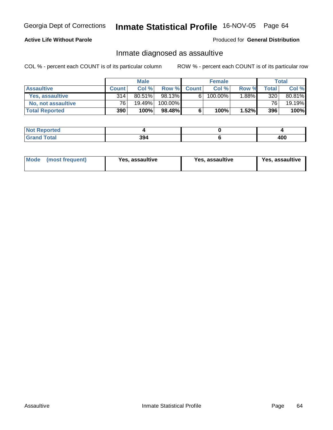### **Active Life Without Parole**

#### Produced for **General Distribution**

### Inmate diagnosed as assaultive

|                       |                 | <b>Male</b> |         |             | <b>Female</b> |       |                 | Total  |
|-----------------------|-----------------|-------------|---------|-------------|---------------|-------|-----------------|--------|
| <b>Assaultive</b>     | <b>Count</b>    | Col %       |         | Row % Count | Col %         | Row % | <b>Total</b>    | Col %  |
| Yes. assaultive       | 314             | $80.51\%$   | 98.13%  | 6           | 100.00%       | 1.88% | 320             | 80.81% |
| No, not assaultive    | 76 <sub>1</sub> | 19.49%      | 100.00% |             |               |       | 76 <sub>1</sub> | 19.19% |
| <b>Total Reported</b> | <b>390</b>      | 100%        | 98.48%  | 6           | 100%          | 1.52% | 396             | 100%   |

| <b>Not Reported</b> |     |            |
|---------------------|-----|------------|
| <b>Total</b>        | 394 | 10C<br>40C |

| Mode (most frequent)<br><b>Yes, assaultive</b> | Yes, assaultive | Yes, assaultive |
|------------------------------------------------|-----------------|-----------------|
|------------------------------------------------|-----------------|-----------------|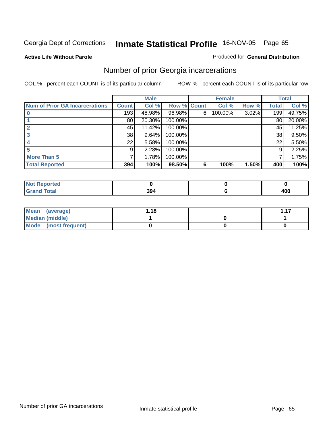#### **Active Life Without Parole**

#### Produced for **General Distribution**

### Number of prior Georgia incarcerations

|                                       |                 | <b>Male</b> |                    |   | <b>Female</b> |       |       | <b>Total</b> |
|---------------------------------------|-----------------|-------------|--------------------|---|---------------|-------|-------|--------------|
| <b>Num of Prior GA Incarcerations</b> | <b>Count</b>    | Col %       | <b>Row % Count</b> |   | Col %         | Row % | Total | Col %        |
|                                       | 193             | 48.98%      | 96.98%             | 6 | 100.00%       | 3.02% | 199   | 49.75%       |
|                                       | 80 <sub>1</sub> | 20.30%      | 100.00%            |   |               |       | 80    | 20.00%       |
|                                       | 45              | 11.42%      | 100.00%            |   |               |       | 45    | 11.25%       |
|                                       | 38              | 9.64%       | 100.00%            |   |               |       | 38    | 9.50%        |
|                                       | 22              | 5.58%       | 100.00%            |   |               |       | 22    | 5.50%        |
|                                       | 9               | 2.28%       | 100.00%            |   |               |       | 9     | 2.25%        |
| <b>More Than 5</b>                    | 7               | 1.78%       | 100.00%            |   |               |       |       | 1.75%        |
| <b>Total Reported</b>                 | 394             | 100%        | 98.50%             | 6 | 100%          | 1.50% | 400   | 100%         |

| N<br>чес |            |            |
|----------|------------|------------|
|          | 00<br>-954 | חחו<br>40V |

| Mean (average)         | .18، | 117 |
|------------------------|------|-----|
| <b>Median (middle)</b> |      |     |
| Mode (most frequent)   |      |     |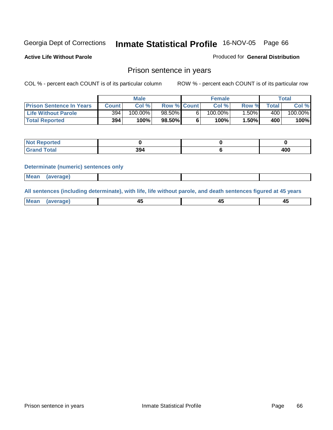**Active Life Without Parole** 

Produced for **General Distribution**

### Prison sentence in years

COL % - percent each COUNT is of its particular column ROW % - percent each COUNT is of its particular row

|                                 | <b>Male</b>  |            |                    | <b>Female</b> |            |          | <b>Total</b> |                       |
|---------------------------------|--------------|------------|--------------------|---------------|------------|----------|--------------|-----------------------|
| <b>Prison Sentence In Years</b> | <b>Count</b> | Col %      | <b>Row % Count</b> |               | Col %      | Row %    | Total        | Col %                 |
| <b>Life Without Parole</b>      | 394          | $100.00\%$ | 98.50%             |               | $100.00\%$ | $.50\%$  | 400          | $100.\overline{00\%}$ |
| <b>Total Reported</b>           | 394          | 100%       | 98.50%             |               | 100%       | $1.50\%$ | 400          | 100%                  |

| orteg<br>- IN 4                  |     |     |
|----------------------------------|-----|-----|
| <b>Total</b><br>$\mathbf{v}$ and | 394 | 400 |

#### **Determinate (numeric) sentences only**

| <b>Mean</b> | (average) |  |  |
|-------------|-----------|--|--|
|             |           |  |  |

**All sentences (including determinate), with life, life without parole, and death sentences figured at 45 years**

| <b>Me</b><br>_____ | -- |  |
|--------------------|----|--|
|                    |    |  |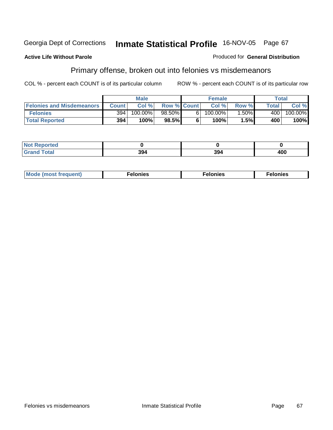#### **Active Life Without Parole**

Primary offense, broken out into felonies vs misdemeanors

COL % - percent each COUNT is of its particular column ROW % - percent each COUNT is of its particular row

Produced for **General Distribution**

|                                  |              | <b>Male</b> |                    |   | <b>Female</b> |         |       | Total   |
|----------------------------------|--------------|-------------|--------------------|---|---------------|---------|-------|---------|
| <b>Felonies and Misdemeanors</b> | <b>Count</b> | Col%        | <b>Row % Count</b> |   | Col%          | Row %   | Total | Col %   |
| <b>Felonies</b>                  | 394          | $100.00\%$  | 98.50%             | հ | $100.00\%$    | $.50\%$ | 400   | 100.00% |
| <b>Total Reported</b>            | 394          | 100%        | $98.5\%$           |   | 100%          | ا%5.،   | 400   | 100%    |

| <b>Not</b><br>$\gamma$ rted<br>⋯ |     |                 |     |
|----------------------------------|-----|-----------------|-----|
| <b>Total</b>                     | 201 | 20 <sub>h</sub> | 400 |
| Grand                            | 594 | 994             |     |

| <b>Mo</b><br>requent)<br>onies<br>.<br>____ | nies.<br>חי<br>____ | <b>onies</b><br>. |
|---------------------------------------------|---------------------|-------------------|
|---------------------------------------------|---------------------|-------------------|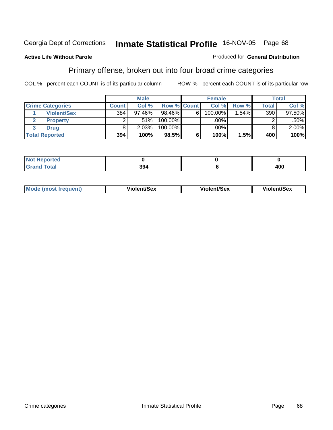#### **Active Life Without Parole**

#### Produced for **General Distribution**

### Primary offense, broken out into four broad crime categories

|                         |              | <b>Male</b> |             |   | <b>Female</b> |         |       | <b>Total</b> |
|-------------------------|--------------|-------------|-------------|---|---------------|---------|-------|--------------|
| <b>Crime Categories</b> | <b>Count</b> | Col %       | Row % Count |   | Col %         | Row %   | Total | Col %        |
| <b>Violent/Sex</b>      | 384          | $97.46\%$   | 98.46%      | 6 | $100.00\%$    | $.54\%$ | 390   | 97.50%       |
| <b>Property</b>         | ⌒            | .51%        | 100.00%     |   | .00%          |         |       | .50%         |
| <b>Drug</b>             |              | 2.03%       | 100.00%     |   | .00%          |         |       | $2.00\%$     |
| <b>Total Reported</b>   | 394          | 100%        | $98.5\%$    | 6 | 100%          | 1.5%    | 400   | 100%         |

| _<br>_____ |  | ,,,<br>.uu |
|------------|--|------------|

| Mode<br>(most frequent) | Violent/Sex | <b>Violent/Sex</b> | Violent/Sex |
|-------------------------|-------------|--------------------|-------------|
|                         |             |                    |             |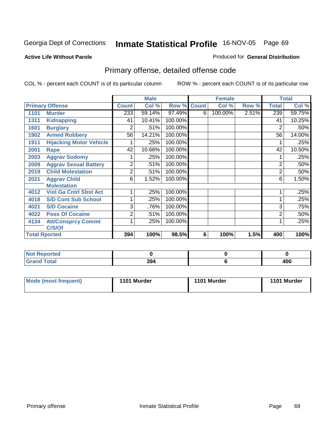#### **Active Life Without Parole**

### Produced for **General Distribution**

# Primary offense, detailed offense code

|      |                                |              | <b>Male</b> |         |              | <b>Female</b> |       |                | <b>Total</b> |
|------|--------------------------------|--------------|-------------|---------|--------------|---------------|-------|----------------|--------------|
|      | <b>Primary Offense</b>         | <b>Count</b> | Col %       | Row %   | <b>Count</b> | Col %         | Row % | Total          | Col %        |
| 1101 | <b>Murder</b>                  | 233          | 59.14%      | 97.49%  | 6            | 100.00%       | 2.51% | 239            | 59.75%       |
| 1311 | <b>Kidnapping</b>              | 41           | 10.41%      | 100.00% |              |               |       | 41             | 10.25%       |
| 1601 | <b>Burglary</b>                | 2            | .51%        | 100.00% |              |               |       | 2              | .50%         |
| 1902 | <b>Armed Robbery</b>           | 56           | 14.21%      | 100.00% |              |               |       | 56             | 14.00%       |
| 1911 | <b>Hijacking Motor Vehicle</b> |              | .25%        | 100.00% |              |               |       |                | .25%         |
| 2001 | <b>Rape</b>                    | 42           | 10.66%      | 100.00% |              |               |       | 42             | 10.50%       |
| 2003 | <b>Aggrav Sodomy</b>           |              | .25%        | 100.00% |              |               |       |                | .25%         |
| 2009 | <b>Aggrav Sexual Battery</b>   | 2            | .51%        | 100.00% |              |               |       | $\overline{2}$ | .50%         |
| 2019 | <b>Child Molestation</b>       | 2            | .51%        | 100.00% |              |               |       | 2              | .50%         |
| 2021 | <b>Aggrav Child</b>            | 6            | 1.52%       | 100.00% |              |               |       | 6              | 1.50%        |
|      | <b>Molestation</b>             |              |             |         |              |               |       |                |              |
| 4012 | <b>Viol Ga Cntrl Sbst Act</b>  |              | .25%        | 100.00% |              |               |       |                | .25%         |
| 4018 | <b>S/D Cont Sub School</b>     |              | .25%        | 100.00% |              |               |       |                | .25%         |
| 4021 | <b>S/D Cocaine</b>             | 3            | .76%        | 100.00% |              |               |       | 3              | .75%         |
| 4022 | <b>Poss Of Cocaine</b>         | 2            | .51%        | 100.00% |              |               |       | $\overline{2}$ | .50%         |
| 4134 | <b>Att/Consprcy Commt</b>      |              | .25%        | 100.00% |              |               |       |                | .25%         |
|      | C/S/Of                         |              |             |         |              |               |       |                |              |
|      | <b>Total Rported</b>           | 394          | 100%        | 98.5%   | 6            | 100%          | 1.5%  | 400            | 100%         |

| <b>Not</b><br>Reported<br>. |     |     |
|-----------------------------|-----|-----|
| <b>Total</b><br>' Grand     | 394 | 100 |

| <b>Mode (most frequent)</b> | 1101 Murder | 1101 Murder | 1101 Murder |
|-----------------------------|-------------|-------------|-------------|
|-----------------------------|-------------|-------------|-------------|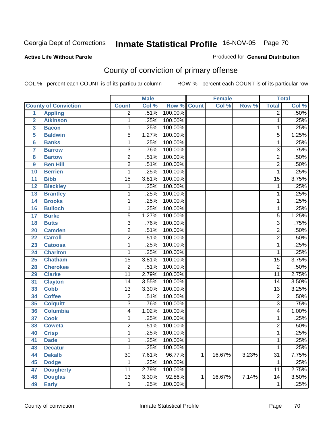#### **Active Life Without Parole**

#### Produced for **General Distribution**

# County of conviction of primary offense

|                |                             |                 | <b>Male</b> |         |              | <b>Female</b> |       |                 | <b>Total</b> |
|----------------|-----------------------------|-----------------|-------------|---------|--------------|---------------|-------|-----------------|--------------|
|                | <b>County of Conviction</b> | <b>Count</b>    | Col %       | Row %   | <b>Count</b> | Col %         | Row % | <b>Total</b>    | Col %        |
| 1              | <b>Appling</b>              | $\overline{2}$  | .51%        | 100.00% |              |               |       | $\overline{2}$  | .50%         |
| $\overline{2}$ | <b>Atkinson</b>             | 1               | .25%        | 100.00% |              |               |       | 1               | .25%         |
| 3              | <b>Bacon</b>                | 1               | .25%        | 100.00% |              |               |       | 1               | .25%         |
| 5              | <b>Baldwin</b>              | $\overline{5}$  | 1.27%       | 100.00% |              |               |       | $\overline{5}$  | 1.25%        |
| $6\phantom{a}$ | <b>Banks</b>                | 1               | .25%        | 100.00% |              |               |       | 1               | .25%         |
| $\overline{7}$ | <b>Barrow</b>               | 3               | .76%        | 100.00% |              |               |       | $\overline{3}$  | .75%         |
| 8              | <b>Bartow</b>               | $\overline{2}$  | .51%        | 100.00% |              |               |       | $\overline{2}$  | .50%         |
| 9              | <b>Ben Hill</b>             | $\overline{2}$  | .51%        | 100.00% |              |               |       | $\overline{2}$  | .50%         |
| 10             | <b>Berrien</b>              | 1               | .25%        | 100.00% |              |               |       | 1               | .25%         |
| 11             | <b>Bibb</b>                 | $\overline{15}$ | 3.81%       | 100.00% |              |               |       | $\overline{15}$ | 3.75%        |
| 12             | <b>Bleckley</b>             | 1               | .25%        | 100.00% |              |               |       | 1               | .25%         |
| 13             | <b>Brantley</b>             | 1               | .25%        | 100.00% |              |               |       | 1               | .25%         |
| 14             | <b>Brooks</b>               | 1               | .25%        | 100.00% |              |               |       | 1               | .25%         |
| 16             | <b>Bulloch</b>              | 1               | .25%        | 100.00% |              |               |       | 1               | .25%         |
| 17             | <b>Burke</b>                | $\overline{5}$  | 1.27%       | 100.00% |              |               |       | $\overline{5}$  | 1.25%        |
| 18             | <b>Butts</b>                | $\overline{3}$  | .76%        | 100.00% |              |               |       | $\overline{3}$  | .75%         |
| 20             | <b>Camden</b>               | $\overline{2}$  | .51%        | 100.00% |              |               |       | $\overline{2}$  | .50%         |
| 22             | <b>Carroll</b>              | $\overline{2}$  | .51%        | 100.00% |              |               |       | $\overline{2}$  | .50%         |
| 23             | <b>Catoosa</b>              | 1               | .25%        | 100.00% |              |               |       | 1               | .25%         |
| 24             | <b>Charlton</b>             | $\mathbf 1$     | .25%        | 100.00% |              |               |       | $\mathbf{1}$    | .25%         |
| 25             | <b>Chatham</b>              | $\overline{15}$ | 3.81%       | 100.00% |              |               |       | $\overline{15}$ | 3.75%        |
| 28             | <b>Cherokee</b>             | $\overline{2}$  | .51%        | 100.00% |              |               |       | $\overline{2}$  | .50%         |
| 29             | <b>Clarke</b>               | $\overline{11}$ | 2.79%       | 100.00% |              |               |       | $\overline{11}$ | 2.75%        |
| 31             | <b>Clayton</b>              | 14              | 3.55%       | 100.00% |              |               |       | $\overline{14}$ | 3.50%        |
| 33             | <b>Cobb</b>                 | 13              | 3.30%       | 100.00% |              |               |       | $\overline{13}$ | 3.25%        |
| 34             | <b>Coffee</b>               | $\overline{2}$  | .51%        | 100.00% |              |               |       | $\overline{2}$  | .50%         |
| 35             | <b>Colquitt</b>             | $\overline{3}$  | .76%        | 100.00% |              |               |       | $\overline{3}$  | .75%         |
| 36             | <b>Columbia</b>             | 4               | 1.02%       | 100.00% |              |               |       | $\overline{4}$  | 1.00%        |
| 37             | <b>Cook</b>                 | 1               | .25%        | 100.00% |              |               |       | 1               | .25%         |
| 38             | <b>Coweta</b>               | $\overline{2}$  | .51%        | 100.00% |              |               |       | $\overline{2}$  | .50%         |
| 40             | <b>Crisp</b>                | 1               | .25%        | 100.00% |              |               |       | 1               | .25%         |
| 41             | <b>Dade</b>                 | 1               | .25%        | 100.00% |              |               |       | 1               | .25%         |
| 43             | <b>Decatur</b>              | 1               | .25%        | 100.00% |              |               |       | 1               | .25%         |
| 44             | <b>Dekalb</b>               | $\overline{30}$ | 7.61%       | 96.77%  | 1            | 16.67%        | 3.23% | $\overline{31}$ | 7.75%        |
| 45             | <b>Dodge</b>                | 1               | .25%        | 100.00% |              |               |       | 1               | .25%         |
| 47             | <b>Dougherty</b>            | 11              | 2.79%       | 100.00% |              |               |       | 11              | 2.75%        |
| 48             | <b>Douglas</b>              | $\overline{13}$ | 3.30%       | 92.86%  | 1            | 16.67%        | 7.14% | $\overline{14}$ | 3.50%        |
| 49             | <b>Early</b>                | $\overline{1}$  | .25%        | 100.00% |              |               |       | 1               | .25%         |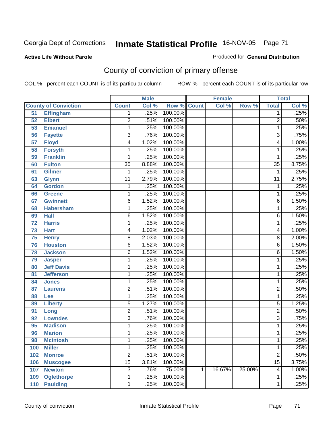#### **Active Life Without Parole**

#### Produced for **General Distribution**

# County of conviction of primary offense

|     |                             |                 | <b>Male</b> |         |              | <b>Female</b> |        |                         | <b>Total</b> |
|-----|-----------------------------|-----------------|-------------|---------|--------------|---------------|--------|-------------------------|--------------|
|     | <b>County of Conviction</b> | <b>Count</b>    | Col %       | Row %   | <b>Count</b> | Col %         | Row %  | <b>Total</b>            | Col %        |
| 51  | <b>Effingham</b>            | 1               | .25%        | 100.00% |              |               |        | 1                       | .25%         |
| 52  | <b>Elbert</b>               | $\overline{2}$  | .51%        | 100.00% |              |               |        | $\overline{2}$          | .50%         |
| 53  | <b>Emanuel</b>              | 1               | .25%        | 100.00% |              |               |        | 1                       | .25%         |
| 56  | <b>Fayette</b>              | $\overline{3}$  | .76%        | 100.00% |              |               |        | $\overline{3}$          | .75%         |
| 57  | <b>Floyd</b>                | 4               | 1.02%       | 100.00% |              |               |        | 4                       | 1.00%        |
| 58  | <b>Forsyth</b>              | 1               | .25%        | 100.00% |              |               |        | 1                       | .25%         |
| 59  | <b>Franklin</b>             | 1               | .25%        | 100.00% |              |               |        | 1                       | .25%         |
| 60  | <b>Fulton</b>               | $\overline{35}$ | 8.88%       | 100.00% |              |               |        | $\overline{35}$         | 8.75%        |
| 61  | <b>Gilmer</b>               | 1               | .25%        | 100.00% |              |               |        | 1                       | .25%         |
| 63  | <b>Glynn</b>                | $\overline{11}$ | 2.79%       | 100.00% |              |               |        | $\overline{11}$         | 2.75%        |
| 64  | <b>Gordon</b>               | 1               | .25%        | 100.00% |              |               |        | 1                       | .25%         |
| 66  | <b>Greene</b>               | 1               | .25%        | 100.00% |              |               |        | 1                       | .25%         |
| 67  | <b>Gwinnett</b>             | $\overline{6}$  | 1.52%       | 100.00% |              |               |        | $\overline{6}$          | 1.50%        |
| 68  | <b>Habersham</b>            | 1               | .25%        | 100.00% |              |               |        | 1                       | .25%         |
| 69  | <b>Hall</b>                 | $\overline{6}$  | 1.52%       | 100.00% |              |               |        | 6                       | 1.50%        |
| 72  | <b>Harris</b>               | 1               | .25%        | 100.00% |              |               |        | 1                       | .25%         |
| 73  | <b>Hart</b>                 | 4               | 1.02%       | 100.00% |              |               |        | 4                       | 1.00%        |
| 75  | <b>Henry</b>                | 8               | 2.03%       | 100.00% |              |               |        | $\overline{8}$          | 2.00%        |
| 76  | <b>Houston</b>              | $\overline{6}$  | 1.52%       | 100.00% |              |               |        | 6                       | 1.50%        |
| 78  | <b>Jackson</b>              | 6               | 1.52%       | 100.00% |              |               |        | 6                       | 1.50%        |
| 79  | <b>Jasper</b>               | 1               | .25%        | 100.00% |              |               |        | 1                       | .25%         |
| 80  | <b>Jeff Davis</b>           | 1               | .25%        | 100.00% |              |               |        | 1                       | .25%         |
| 81  | <b>Jefferson</b>            | 1               | .25%        | 100.00% |              |               |        | 1                       | .25%         |
| 84  | <b>Jones</b>                | 1               | .25%        | 100.00% |              |               |        | 1                       | .25%         |
| 87  | <b>Laurens</b>              | $\overline{2}$  | .51%        | 100.00% |              |               |        | $\overline{2}$          | .50%         |
| 88  | Lee                         | 1               | .25%        | 100.00% |              |               |        | 1                       | .25%         |
| 89  | <b>Liberty</b>              | $\overline{5}$  | 1.27%       | 100.00% |              |               |        | $\overline{5}$          | 1.25%        |
| 91  | Long                        | $\overline{2}$  | .51%        | 100.00% |              |               |        | $\overline{2}$          | .50%         |
| 92  | <b>Lowndes</b>              | $\overline{3}$  | .76%        | 100.00% |              |               |        | $\overline{3}$          | .75%         |
| 95  | <b>Madison</b>              | 1               | .25%        | 100.00% |              |               |        | 1                       | .25%         |
| 96  | <b>Marion</b>               | 1               | .25%        | 100.00% |              |               |        | 1                       | .25%         |
| 98  | <b>Mcintosh</b>             | 1               | .25%        | 100.00% |              |               |        | 1                       | .25%         |
| 100 | <b>Miller</b>               | 1               | .25%        | 100.00% |              |               |        | 1                       | .25%         |
| 102 | <b>Monroe</b>               | $\overline{2}$  | .51%        | 100.00% |              |               |        | $\overline{2}$          | .50%         |
| 106 | <b>Muscogee</b>             | $\overline{15}$ | 3.81%       | 100.00% |              |               |        | $\overline{15}$         | 3.75%        |
| 107 | <b>Newton</b>               | 3               | .76%        | 75.00%  | 1            | 16.67%        | 25.00% | $\overline{\mathbf{4}}$ | 1.00%        |
| 109 | <b>Oglethorpe</b>           | 1               | .25%        | 100.00% |              |               |        | 1                       | .25%         |
| 110 | <b>Paulding</b>             | 1               | .25%        | 100.00% |              |               |        | 1                       | .25%         |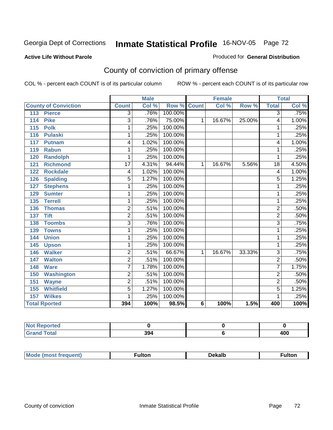#### **Active Life Without Parole**

#### Produced for **General Distribution**

# County of conviction of primary offense

|                             |                 | <b>Male</b> |                    |   | <b>Female</b> |        |                | <b>Total</b> |
|-----------------------------|-----------------|-------------|--------------------|---|---------------|--------|----------------|--------------|
| <b>County of Conviction</b> | <b>Count</b>    | Col %       | <b>Row % Count</b> |   | Col %         | Row %  | <b>Total</b>   | Col %        |
| <b>Pierce</b><br>113        | $\overline{3}$  | .76%        | 100.00%            |   |               |        | $\overline{3}$ | .75%         |
| <b>Pike</b><br>114          | $\overline{3}$  | .76%        | 75.00%             | 1 | 16.67%        | 25.00% | 4              | 1.00%        |
| 115<br><b>Polk</b>          | 1               | .25%        | 100.00%            |   |               |        | 1              | .25%         |
| <b>Pulaski</b><br>116       | 1               | .25%        | 100.00%            |   |               |        | 1              | .25%         |
| 117<br><b>Putnam</b>        | 4               | 1.02%       | 100.00%            |   |               |        | 4              | 1.00%        |
| <b>Rabun</b><br>119         | 1               | .25%        | 100.00%            |   |               |        | 1              | .25%         |
| <b>Randolph</b><br>120      | 1               | .25%        | 100.00%            |   |               |        | 1              | .25%         |
| <b>Richmond</b><br>121      | $\overline{17}$ | 4.31%       | 94.44%             | 1 | 16.67%        | 5.56%  | 18             | 4.50%        |
| <b>Rockdale</b><br>122      | 4               | 1.02%       | 100.00%            |   |               |        | 4              | 1.00%        |
| <b>Spalding</b><br>126      | 5               | 1.27%       | 100.00%            |   |               |        | 5              | 1.25%        |
| <b>Stephens</b><br>127      | 1               | .25%        | 100.00%            |   |               |        | 1              | .25%         |
| 129<br><b>Sumter</b>        | 1               | .25%        | 100.00%            |   |               |        | 1              | .25%         |
| 135<br><b>Terrell</b>       | 1               | .25%        | 100.00%            |   |               |        | 1              | .25%         |
| 136<br><b>Thomas</b>        | $\overline{2}$  | .51%        | 100.00%            |   |               |        | $\overline{2}$ | .50%         |
| <b>Tift</b><br>137          | $\overline{2}$  | .51%        | 100.00%            |   |               |        | $\overline{2}$ | .50%         |
| <b>Toombs</b><br>138        | 3               | .76%        | 100.00%            |   |               |        | $\overline{3}$ | .75%         |
| 139<br><b>Towns</b>         | 1               | .25%        | 100.00%            |   |               |        | 1              | .25%         |
| <b>Union</b><br>144         | 1               | .25%        | 100.00%            |   |               |        | 1              | .25%         |
| 145<br><b>Upson</b>         | 1               | .25%        | 100.00%            |   |               |        | 1              | .25%         |
| <b>Walker</b><br>146        | $\overline{2}$  | .51%        | 66.67%             | 1 | 16.67%        | 33.33% | 3              | .75%         |
| <b>Walton</b><br>147        | $\overline{2}$  | .51%        | 100.00%            |   |               |        | $\overline{2}$ | .50%         |
| <b>Ware</b><br>148          | $\overline{7}$  | 1.78%       | 100.00%            |   |               |        | 7              | 1.75%        |
| <b>Washington</b><br>150    | $\overline{2}$  | .51%        | 100.00%            |   |               |        | $\overline{2}$ | .50%         |
| 151<br><b>Wayne</b>         | $\overline{2}$  | .51%        | 100.00%            |   |               |        | $\overline{2}$ | .50%         |
| <b>Whitfield</b><br>155     | 5               | 1.27%       | 100.00%            |   |               |        | 5              | 1.25%        |
| <b>Wilkes</b><br>157        | 1               | .25%        | 100.00%            |   |               |        | 1              | .25%         |
| <b>Total Rported</b>        | 394             | 100%        | 98.5%              | 6 | 100%          | 1.5%   | 400            | 100%         |

| <b>orted</b>                                    |     |            |
|-------------------------------------------------|-----|------------|
| $f \wedge f \wedge f$<br><b>Charles</b><br>νιαι | 394 | 100<br>40L |

| М<br>nuemu | ulton | Dekalb<br>------- | ∶ulton |
|------------|-------|-------------------|--------|
|            |       |                   |        |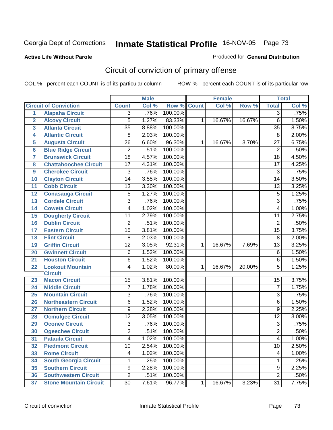### **Active Life Without Parole**

#### Produced for **General Distribution**

# Circuit of conviction of primary offense

|                         |                               | <b>Male</b>     |       | <b>Female</b> |              |        | <b>Total</b> |                         |       |
|-------------------------|-------------------------------|-----------------|-------|---------------|--------------|--------|--------------|-------------------------|-------|
|                         | <b>Circuit of Conviction</b>  | <b>Count</b>    | Col % | Row %         | <b>Count</b> | Col %  | Row %        | <b>Total</b>            | Col % |
| $\overline{1}$          | <b>Alapaha Circuit</b>        | 3               | .76%  | 100.00%       |              |        |              | 3                       | .75%  |
| $\overline{2}$          | <b>Alcovy Circuit</b>         | 5               | 1.27% | 83.33%        | 1            | 16.67% | 16.67%       | 6                       | 1.50% |
| $\overline{\mathbf{3}}$ | <b>Atlanta Circuit</b>        | $\overline{35}$ | 8.88% | 100.00%       |              |        |              | $\overline{35}$         | 8.75% |
| 4                       | <b>Atlantic Circuit</b>       | $\overline{8}$  | 2.03% | 100.00%       |              |        |              | $\overline{8}$          | 2.00% |
| 5                       | <b>Augusta Circuit</b>        | 26              | 6.60% | 96.30%        | 1            | 16.67% | 3.70%        | 27                      | 6.75% |
| $6\phantom{a}6$         | <b>Blue Ridge Circuit</b>     | $\overline{2}$  | .51%  | 100.00%       |              |        |              | $\overline{2}$          | .50%  |
| 7                       | <b>Brunswick Circuit</b>      | $\overline{18}$ | 4.57% | 100.00%       |              |        |              | $\overline{18}$         | 4.50% |
| 8                       | <b>Chattahoochee Circuit</b>  | 17              | 4.31% | 100.00%       |              |        |              | $\overline{17}$         | 4.25% |
| 9                       | <b>Cherokee Circuit</b>       | 3               | .76%  | 100.00%       |              |        |              | $\overline{3}$          | .75%  |
| 10                      | <b>Clayton Circuit</b>        | $\overline{14}$ | 3.55% | 100.00%       |              |        |              | 14                      | 3.50% |
| 11                      | <b>Cobb Circuit</b>           | 13              | 3.30% | 100.00%       |              |        |              | $\overline{13}$         | 3.25% |
| 12                      | <b>Conasauga Circuit</b>      | 5               | 1.27% | 100.00%       |              |        |              | 5                       | 1.25% |
| 13                      | <b>Cordele Circuit</b>        | $\overline{3}$  | .76%  | 100.00%       |              |        |              | $\overline{3}$          | .75%  |
| 14                      | <b>Coweta Circuit</b>         | 4               | 1.02% | 100.00%       |              |        |              | $\overline{\mathbf{4}}$ | 1.00% |
| 15                      | <b>Dougherty Circuit</b>      | $\overline{11}$ | 2.79% | 100.00%       |              |        |              | $\overline{11}$         | 2.75% |
| 16                      | <b>Dublin Circuit</b>         | $\overline{2}$  | .51%  | 100.00%       |              |        |              | $\overline{2}$          | .50%  |
| 17                      | <b>Eastern Circuit</b>        | $\overline{15}$ | 3.81% | 100.00%       |              |        |              | $\overline{15}$         | 3.75% |
| 18                      | <b>Flint Circuit</b>          | 8               | 2.03% | 100.00%       |              |        |              | 8                       | 2.00% |
| 19                      | <b>Griffin Circuit</b>        | $\overline{12}$ | 3.05% | 92.31%        | 1            | 16.67% | 7.69%        | $\overline{13}$         | 3.25% |
| 20                      | <b>Gwinnett Circuit</b>       | 6               | 1.52% | 100.00%       |              |        |              | $\overline{6}$          | 1.50% |
| 21                      | <b>Houston Circuit</b>        | 6               | 1.52% | 100.00%       |              |        |              | 6                       | 1.50% |
| 22                      | <b>Lookout Mountain</b>       | 4               | 1.02% | 80.00%        | 1            | 16.67% | 20.00%       | $\overline{5}$          | 1.25% |
|                         | <b>Circuit</b>                |                 |       |               |              |        |              |                         |       |
| 23                      | <b>Macon Circuit</b>          | 15              | 3.81% | 100.00%       |              |        |              | 15                      | 3.75% |
| 24                      | <b>Middle Circuit</b>         | 7               | 1.78% | 100.00%       |              |        |              | $\overline{7}$          | 1.75% |
| 25                      | <b>Mountain Circuit</b>       | 3               | .76%  | 100.00%       |              |        |              | $\overline{3}$          | .75%  |
| 26                      | <b>Northeastern Circuit</b>   | 6               | 1.52% | 100.00%       |              |        |              | 6                       | 1.50% |
| 27                      | <b>Northern Circuit</b>       | 9               | 2.28% | 100.00%       |              |        |              | $\overline{9}$          | 2.25% |
| 28                      | <b>Ocmulgee Circuit</b>       | $\overline{12}$ | 3.05% | 100.00%       |              |        |              | $\overline{12}$         | 3.00% |
| 29                      | <b>Oconee Circuit</b>         | $\overline{3}$  | .76%  | 100.00%       |              |        |              | $\overline{3}$          | .75%  |
| 30                      | <b>Ogeechee Circuit</b>       | $\overline{2}$  | .51%  | 100.00%       |              |        |              | $\overline{2}$          | .50%  |
| 31                      | <b>Pataula Circuit</b>        | $\overline{4}$  | 1.02% | 100.00%       |              |        |              | $\overline{4}$          | 1.00% |
| 32                      | <b>Piedmont Circuit</b>       | 10              | 2.54% | 100.00%       |              |        |              | 10                      | 2.50% |
| 33                      | <b>Rome Circuit</b>           | 4               | 1.02% | 100.00%       |              |        |              | 4                       | 1.00% |
| 34                      | <b>South Georgia Circuit</b>  | 1               | .25%  | 100.00%       |              |        |              | 1                       | .25%  |
| 35                      | <b>Southern Circuit</b>       | $\overline{9}$  | 2.28% | 100.00%       |              |        |              | $\overline{9}$          | 2.25% |
| 36                      | <b>Southwestern Circuit</b>   | $\overline{2}$  | .51%  | 100.00%       |              |        |              | $\overline{2}$          | .50%  |
| 37                      | <b>Stone Mountain Circuit</b> | 30              | 7.61% | 96.77%        | $\mathbf{1}$ | 16.67% | 3.23%        | $\overline{31}$         | 7.75% |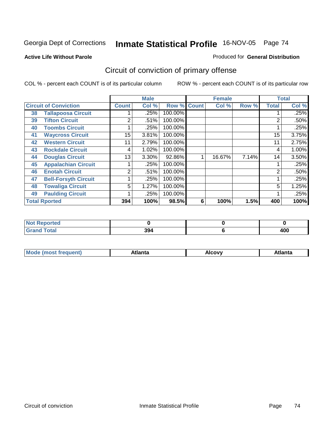#### **Active Life Without Parole**

#### Produced for **General Distribution**

# Circuit of conviction of primary offense

|    |                              | <b>Male</b>    |          | <b>Female</b>      |   |        | <b>Total</b> |              |       |
|----|------------------------------|----------------|----------|--------------------|---|--------|--------------|--------------|-------|
|    | <b>Circuit of Conviction</b> | <b>Count</b>   | Col %    | <b>Row % Count</b> |   | Col %  | Row %        | <b>Total</b> | Col % |
| 38 | <b>Tallapoosa Circuit</b>    |                | .25%     | 100.00%            |   |        |              |              | .25%  |
| 39 | <b>Tifton Circuit</b>        | 2              | .51%     | 100.00%            |   |        |              | 2            | .50%  |
| 40 | <b>Toombs Circuit</b>        |                | .25%     | 100.00%            |   |        |              |              | .25%  |
| 41 | <b>Waycross Circuit</b>      | 15             | 3.81%    | 100.00%            |   |        |              | 15           | 3.75% |
| 42 | <b>Western Circuit</b>       | 11             | 2.79%    | 100.00%            |   |        |              | 11           | 2.75% |
| 43 | <b>Rockdale Circuit</b>      | 4              | 1.02%    | 100.00%            |   |        |              | 4            | 1.00% |
| 44 | <b>Douglas Circuit</b>       | 13             | $3.30\%$ | 92.86%             |   | 16.67% | 7.14%        | 14           | 3.50% |
| 45 | <b>Appalachian Circuit</b>   |                | .25%     | 100.00%            |   |        |              |              | .25%  |
| 46 | <b>Enotah Circuit</b>        | $\overline{2}$ | .51%     | 100.00%            |   |        |              | 2            | .50%  |
| 47 | <b>Bell-Forsyth Circuit</b>  |                | .25%     | 100.00%            |   |        |              |              | .25%  |
| 48 | <b>Towaliga Circuit</b>      | 5              | 1.27%    | 100.00%            |   |        |              | 5            | 1.25% |
| 49 | <b>Paulding Circuit</b>      |                | .25%     | 100.00%            |   |        |              | 4            | .25%  |
|    | <b>Total Rported</b>         | 394            | 100%     | 98.5%              | 6 | 100%   | 1.5%         | 400          | 100%  |

| <b>NOT Reported</b>                  |     |         |
|--------------------------------------|-----|---------|
| $f \wedge f \wedge f$<br><b>Utal</b> | 394 | .<br>юu |

| M. | .<br>41 I LL | $-1111$<br>$\sim$ $\sim$ $\sim$ | 1 L C<br>- --- <i>-</i> -- <i>-</i> -- |
|----|--------------|---------------------------------|----------------------------------------|
|    |              |                                 |                                        |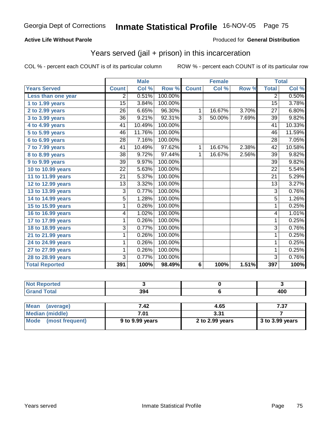### **Active Life Without Parole**

#### Produced for **General Distribution**

## Years served (jail + prison) in this incarceration

|                              |                 | <b>Male</b> |         |                | Female |       | <b>Total</b>    |        |
|------------------------------|-----------------|-------------|---------|----------------|--------|-------|-----------------|--------|
| <b>Years Served</b>          | <b>Count</b>    | Col %       | Row %   | <b>Count</b>   | Col %  | Row % | <b>Total</b>    | Col %  |
| Less than one year           | 2               | 0.51%       | 100.00% |                |        |       | $\overline{2}$  | 0.50%  |
| 1 to 1.99 years              | 15              | 3.84%       | 100.00% |                |        |       | 15              | 3.78%  |
| 2 to 2.99 years              | $\overline{26}$ | 6.65%       | 96.30%  | $\overline{1}$ | 16.67% | 3.70% | $\overline{27}$ | 6.80%  |
| 3 to 3.99 years              | $\overline{36}$ | 9.21%       | 92.31%  | $\overline{3}$ | 50.00% | 7.69% | $\overline{39}$ | 9.82%  |
| 4 to 4.99 years              | 41              | 10.49%      | 100.00% |                |        |       | 41              | 10.33% |
| $\overline{5}$ to 5.99 years | 46              | 11.76%      | 100.00% |                |        |       | $\overline{46}$ | 11.59% |
| $6$ to $6.99$ years          | 28              | 7.16%       | 100.00% |                |        |       | 28              | 7.05%  |
| 7 to 7.99 years              | 41              | 10.49%      | 97.62%  | 1              | 16.67% | 2.38% | 42              | 10.58% |
| 8 to 8.99 years              | 38              | 9.72%       | 97.44%  | $\mathbf 1$    | 16.67% | 2.56% | 39              | 9.82%  |
| 9 to 9.99 years              | 39              | 9.97%       | 100.00% |                |        |       | 39              | 9.82%  |
| 10 to 10.99 years            | $\overline{22}$ | 5.63%       | 100.00% |                |        |       | $\overline{22}$ | 5.54%  |
| 11 to 11.99 years            | $\overline{21}$ | 5.37%       | 100.00% |                |        |       | $\overline{21}$ | 5.29%  |
| 12 to 12.99 years            | 13              | 3.32%       | 100.00% |                |        |       | $\overline{13}$ | 3.27%  |
| 13 to 13.99 years            | $\overline{3}$  | 0.77%       | 100.00% |                |        |       | $\overline{3}$  | 0.76%  |
| 14 to 14.99 years            | $\overline{5}$  | 1.28%       | 100.00% |                |        |       | $\overline{5}$  | 1.26%  |
| 15 to 15.99 years            | 1               | 0.26%       | 100.00% |                |        |       | 1               | 0.25%  |
| 16 to 16.99 years            | 4               | 1.02%       | 100.00% |                |        |       | $\overline{4}$  | 1.01%  |
| 17 to 17.99 years            | 1               | 0.26%       | 100.00% |                |        |       | 1               | 0.25%  |
| 18 to 18.99 years            | 3               | 0.77%       | 100.00% |                |        |       | 3               | 0.76%  |
| 21 to 21.99 years            | 1               | 0.26%       | 100.00% |                |        |       | 1               | 0.25%  |
| 24 to 24.99 years            | 1               | 0.26%       | 100.00% |                |        |       | 1               | 0.25%  |
| 27 to 27.99 years            | 1               | 0.26%       | 100.00% |                |        |       | 1               | 0.25%  |
| 28 to 28.99 years            | $\overline{3}$  | 0.77%       | 100.00% |                |        |       | $\overline{3}$  | 0.76%  |
| <b>Total Reported</b>        | 391             | 100%        | 98.49%  | 6              | 100%   | 1.51% | 397             | 100%   |

| <b>Not Reported</b>      |      |      |      |
|--------------------------|------|------|------|
| <b>Grand Total</b>       | 394  |      | 400  |
|                          |      |      |      |
| <b>Mean</b><br>(average) | 7.42 | 4.65 | 7.37 |
| <b>Median (middle)</b>   | 7.01 | 3.31 |      |

| Median (middle)      | 7.01            | 3.31            |                         |  |  |
|----------------------|-----------------|-----------------|-------------------------|--|--|
| Mode (most frequent) | 9 to 9.99 years | 2 to 2.99 years | $\vert$ 3 to 3.99 years |  |  |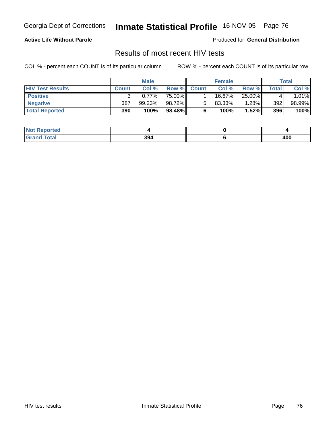### **Active Life Without Parole**

Produced for **General Distribution**

### Results of most recent HIV tests

|                         | <b>Male</b>  |          | <b>Female</b> |              |           | Total  |       |         |
|-------------------------|--------------|----------|---------------|--------------|-----------|--------|-------|---------|
| <b>HIV Test Results</b> | <b>Count</b> | Col %    | Row %         | <b>Count</b> | Col %     | Row %  | Total | Col %   |
| <b>Positive</b>         |              | $0.77\%$ | 75.00%        |              | $16.67\%$ | 25.00% |       | $.01\%$ |
| <b>Negative</b>         | 387          | 99.23%   | 98.72%        |              | $83.33\%$ | 1.28%  | 392   | 98.99%  |
| <b>Total Reported</b>   | 390          | 100%     | 98.48%        |              | 100%      | 1.52%  | 396   | 100%    |

| <b>Not Reported</b> |     |     |
|---------------------|-----|-----|
| <b>Total</b>        | 394 | 400 |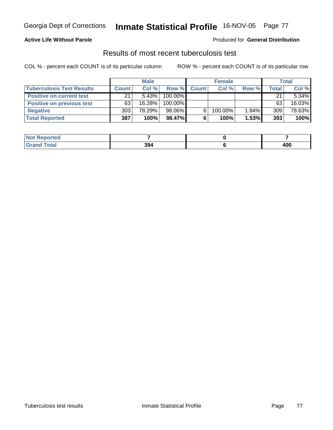### **Active Life Without Parole**

#### Produced for **General Distribution**

### Results of most recent tuberculosis test

|                                  | <b>Male</b>  |           | <b>Female</b> |              |         | Total    |       |        |
|----------------------------------|--------------|-----------|---------------|--------------|---------|----------|-------|--------|
| <b>Tuberculosis Test Results</b> | <b>Count</b> | Col%      | Row %         | <b>Count</b> | Col %   | Row %    | Total | Col %  |
| <b>Positive on current test</b>  | 21           | $5.43\%$  | 100.00%       |              |         |          | 21    | 5.34%  |
| <b>Positive on previous test</b> | 63           | $16.28\%$ | 100.00%       |              |         |          | 63    | 16.03% |
| <b>Negative</b>                  | 303          | 78.29%    | 98.06%        |              | 100.00% | $1.94\%$ | 309   | 78.63% |
| <b>Total Reported</b>            | 387          | 100%      | 98.47%        |              | 100%    | 1.53%    | 393   | 100%   |

| oorted      |     |     |
|-------------|-----|-----|
| <b>otal</b> | 394 | 400 |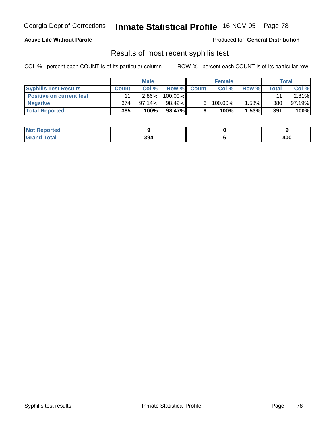### **Active Life Without Parole**

Produced for **General Distribution**

### Results of most recent syphilis test

|                                 | <b>Male</b>  |           | <b>Female</b> |             |            | Total |       |           |
|---------------------------------|--------------|-----------|---------------|-------------|------------|-------|-------|-----------|
| <b>Syphilis Test Results</b>    | <b>Count</b> | Col%      |               | Row % Count | Col%       | Row % | Total | Col %     |
| <b>Positive on current test</b> |              | $2.86\%$  | 100.00%       |             |            |       | 11    | $2.81\%$  |
| <b>Negative</b>                 | 374          | $97.14\%$ | 98.42%        |             | $100.00\%$ | 1.58% | 380   | $97.19\%$ |
| <b>Total Reported</b>           | 385          | 100%      | 98.47%I       |             | 100%       | 1.53% | 391   | 100%      |

| <b>Not Reported</b> |     |     |
|---------------------|-----|-----|
| <b>Total</b>        | 394 | 400 |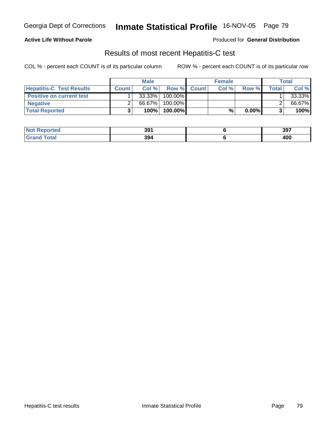### **Active Life Without Parole**

Produced for **General Distribution**

### Results of most recent Hepatitis-C test

|                                 |       | <b>Male</b> |          |             | <b>Female</b> |          |              | Total  |
|---------------------------------|-------|-------------|----------|-------------|---------------|----------|--------------|--------|
| <b>Hepatitis-C Test Results</b> | Count | Col%        |          | Row % Count | Col %         | Row %    | <b>Total</b> | Col %  |
| <b>Positive on current test</b> |       | $33.33\%$   | 100.00%  |             |               |          |              | 33.33% |
| <b>Negative</b>                 |       | 66.67%      | 100.00%  |             |               |          |              | 66.67% |
| <b>Total Reported</b>           |       | 100%        | 100.00%l |             | %             | $0.00\%$ |              | 100%   |

| <b>Not Reported</b> | 391 | 397 |
|---------------------|-----|-----|
| Total<br>Gran       | 394 | 400 |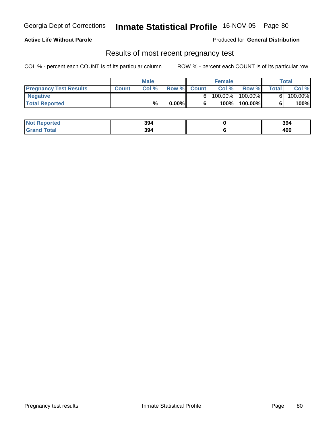### **Active Life Without Parole**

Produced for **General Distribution**

### Results of most recent pregnancy test

|                               |              | <b>Male</b> |          |             | <b>Female</b> |            |              | Total   |
|-------------------------------|--------------|-------------|----------|-------------|---------------|------------|--------------|---------|
| <b>Pregnancy Test Results</b> | <b>Count</b> | Col %       |          | Row % Count | Col %         | Row %      | <b>Total</b> | Col %   |
| <b>Negative</b>               |              |             |          |             | $100.00\%$    | $100.00\%$ |              | 100.00% |
| <b>Total Reported</b>         |              | %           | $0.00\%$ |             | 100%          | 100.00%    |              | 100%    |

| eported<br>NOT    | 394 | 394 |
|-------------------|-----|-----|
| fota <sup>l</sup> | 394 | 400 |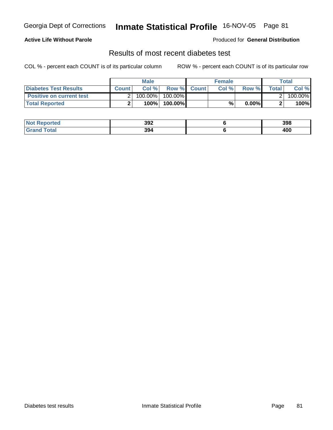### **Active Life Without Parole**

#### Produced for **General Distribution**

### Results of most recent diabetes test

|                                 |       | <b>Male</b> |                    | <b>Female</b> |          |         | Total   |
|---------------------------------|-------|-------------|--------------------|---------------|----------|---------|---------|
| Diabetes Test Results           | Count | Col %       | <b>Row % Count</b> | Col %         | Row %    | Total l | Col %   |
| <b>Positive on current test</b> |       | 100.00%     | 100.00% I          |               |          |         | 100.00% |
| <b>Total Reported</b>           |       | 100%        | 100.00%            | %             | $0.00\%$ |         | 100%    |

| Reported<br>NOT I | 392 | 398 |
|-------------------|-----|-----|
| <i>i</i> otal     | 394 | 400 |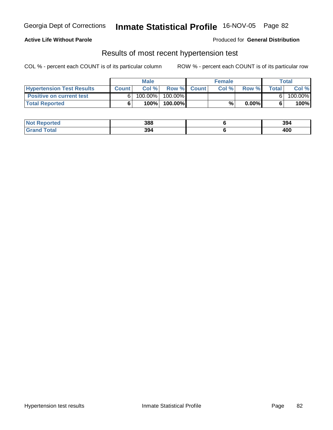### **Active Life Without Parole**

Produced for **General Distribution**

### Results of most recent hypertension test

|                                  |              | <b>Male</b> |            |             | <b>Female</b> |          |              | Total   |
|----------------------------------|--------------|-------------|------------|-------------|---------------|----------|--------------|---------|
| <b>Hypertension Test Results</b> | <b>Count</b> | Col%        |            | Row % Count | Col%          | Row %    | <b>Total</b> | Col %   |
| <b>Positive on current test</b>  |              | $100.00\%$  | $100.00\%$ |             |               |          |              | 100.00% |
| <b>Total Reported</b>            |              | 100%        | 100.00%    |             | %             | $0.00\%$ |              | 100%    |

| <b>Not</b><br>Reported | 388 | 394 |
|------------------------|-----|-----|
| <b>ota</b><br>Gr'      | 394 | 400 |